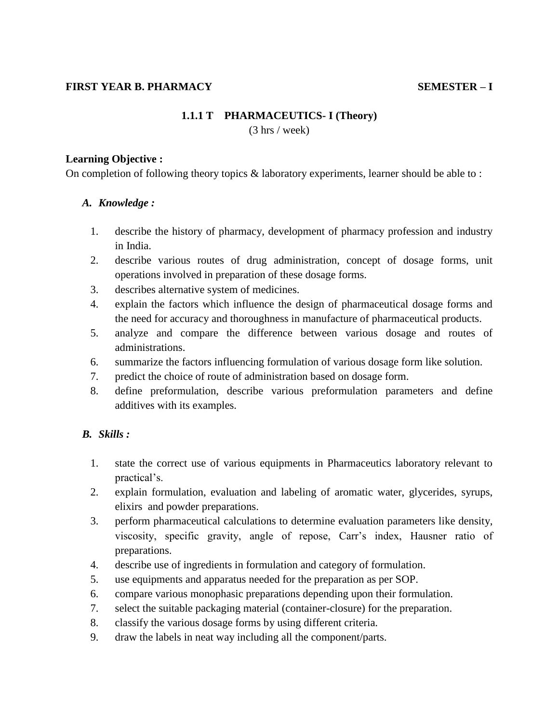### **FIRST YEAR B. PHARMACY SEMESTER – I**

# **1.1.1 T PHARMACEUTICS- I (Theory)**

(3 hrs / week)

#### **Learning Objective :**

On completion of following theory topics & laboratory experiments, learner should be able to :

#### *A. Knowledge :*

- 1. describe the history of pharmacy, development of pharmacy profession and industry in India.
- 2. describe various routes of drug administration, concept of dosage forms, unit operations involved in preparation of these dosage forms.
- 3. describes alternative system of medicines.
- 4. explain the factors which influence the design of pharmaceutical dosage forms and the need for accuracy and thoroughness in manufacture of pharmaceutical products.
- 5. analyze and compare the difference between various dosage and routes of administrations.
- 6. summarize the factors influencing formulation of various dosage form like solution.
- 7. predict the choice of route of administration based on dosage form.
- 8. define preformulation, describe various preformulation parameters and define additives with its examples.

## *B. Skills :*

- 1. state the correct use of various equipments in Pharmaceutics laboratory relevant to practical's.
- 2. explain formulation, evaluation and labeling of aromatic water, glycerides, syrups, elixirs and powder preparations.
- 3. perform pharmaceutical calculations to determine evaluation parameters like density, viscosity, specific gravity, angle of repose, Carr"s index, Hausner ratio of preparations.
- 4. describe use of ingredients in formulation and category of formulation.
- 5. use equipments and apparatus needed for the preparation as per SOP.
- 6. compare various monophasic preparations depending upon their formulation.
- 7. select the suitable packaging material (container-closure) for the preparation.
- 8. classify the various dosage forms by using different criteria.
- 9. draw the labels in neat way including all the component/parts.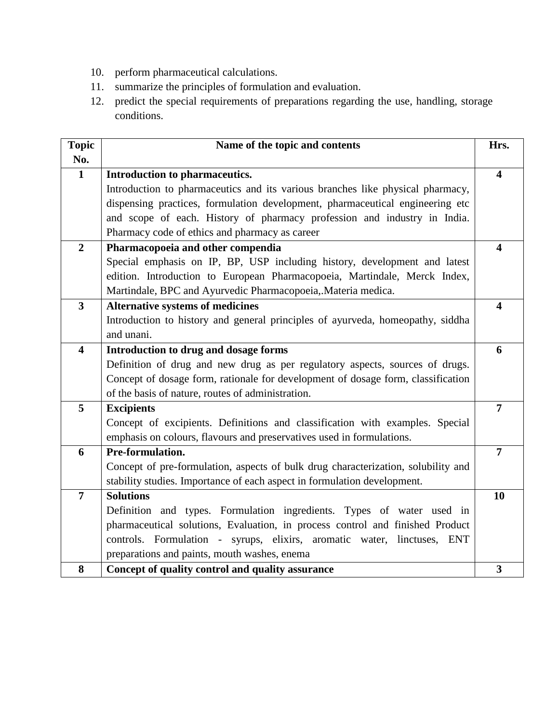- 10. perform pharmaceutical calculations.
- 11. summarize the principles of formulation and evaluation.
- 12. predict the special requirements of preparations regarding the use, handling, storage conditions.

| <b>Topic</b><br>No.     | Name of the topic and contents                                                    | Hrs.                    |
|-------------------------|-----------------------------------------------------------------------------------|-------------------------|
| $\mathbf{1}$            | Introduction to pharmaceutics.                                                    | $\overline{\mathbf{4}}$ |
|                         | Introduction to pharmaceutics and its various branches like physical pharmacy,    |                         |
|                         | dispensing practices, formulation development, pharmaceutical engineering etc     |                         |
|                         | and scope of each. History of pharmacy profession and industry in India.          |                         |
|                         | Pharmacy code of ethics and pharmacy as career                                    |                         |
| $\overline{2}$          | Pharmacopoeia and other compendia                                                 | $\overline{\mathbf{4}}$ |
|                         | Special emphasis on IP, BP, USP including history, development and latest         |                         |
|                         | edition. Introduction to European Pharmacopoeia, Martindale, Merck Index,         |                         |
|                         | Martindale, BPC and Ayurvedic Pharmacopoeia, Materia medica.                      |                         |
| $\overline{\mathbf{3}}$ | <b>Alternative systems of medicines</b>                                           | $\overline{\mathbf{4}}$ |
|                         | Introduction to history and general principles of ayurveda, homeopathy, siddha    |                         |
|                         | and unani.                                                                        |                         |
| $\overline{\mathbf{4}}$ | Introduction to drug and dosage forms                                             | 6                       |
|                         | Definition of drug and new drug as per regulatory aspects, sources of drugs.      |                         |
|                         | Concept of dosage form, rationale for development of dosage form, classification  |                         |
|                         | of the basis of nature, routes of administration.                                 |                         |
| 5                       | <b>Excipients</b>                                                                 | $\overline{7}$          |
|                         | Concept of excipients. Definitions and classification with examples. Special      |                         |
|                         | emphasis on colours, flavours and preservatives used in formulations.             |                         |
| 6                       | Pre-formulation.                                                                  | $\overline{7}$          |
|                         | Concept of pre-formulation, aspects of bulk drug characterization, solubility and |                         |
|                         | stability studies. Importance of each aspect in formulation development.          |                         |
| $\overline{7}$          | <b>Solutions</b>                                                                  | 10                      |
|                         | Definition and types. Formulation ingredients. Types of water used in             |                         |
|                         | pharmaceutical solutions, Evaluation, in process control and finished Product     |                         |
|                         | controls. Formulation - syrups, elixirs, aromatic water, linctuses, ENT           |                         |
|                         | preparations and paints, mouth washes, enema                                      |                         |
| 8                       | Concept of quality control and quality assurance                                  | $\overline{\mathbf{3}}$ |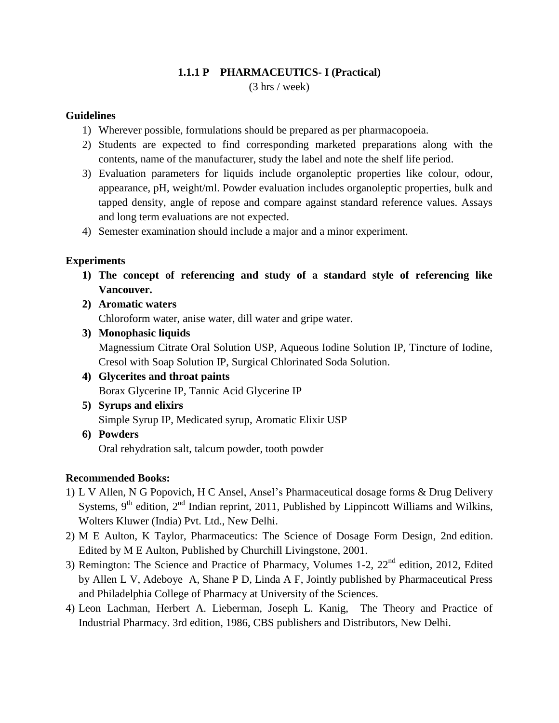## **1.1.1 P PHARMACEUTICS- I (Practical)** (3 hrs / week)

## **Guidelines**

- 1) Wherever possible, formulations should be prepared as per pharmacopoeia.
- 2) Students are expected to find corresponding marketed preparations along with the contents, name of the manufacturer, study the label and note the shelf life period.
- 3) Evaluation parameters for liquids include organoleptic properties like colour, odour, appearance, pH, weight/ml. Powder evaluation includes organoleptic properties, bulk and tapped density, angle of repose and compare against standard reference values. Assays and long term evaluations are not expected.
- 4) Semester examination should include a major and a minor experiment.

## **Experiments**

- **1) The concept of referencing and study of a standard style of referencing like Vancouver.**
- **2) Aromatic waters** Chloroform water, anise water, dill water and gripe water.
- **3) Monophasic liquids** Magnessium Citrate Oral Solution USP, Aqueous Iodine Solution IP, Tincture of Iodine, Cresol with Soap Solution IP, Surgical Chlorinated Soda Solution.
- **4) Glycerites and throat paints** Borax Glycerine IP, Tannic Acid Glycerine IP
- **5) Syrups and elixirs** Simple Syrup IP, Medicated syrup, Aromatic Elixir USP
- **6) Powders** Oral rehydration salt, talcum powder, tooth powder

## **Recommended Books:**

- 1) [L V Allen,](http://www.flipkart.com/author/loyd-v-allen) [N G Popovich,](http://www.flipkart.com/author/nicholas-g-popovich) [H C Ansel,](http://www.flipkart.com/author/howard-c-ansel) Ansel"s Pharmaceutical dosage forms & Drug Delivery Systems,  $9<sup>th</sup>$  edition,  $2<sup>nd</sup>$  Indian reprint, 2011, Published by Lippincott Williams and Wilkins, Wolters Kluwer (India) Pvt. Ltd., New Delhi.
- 2) M E Aulton, K Taylor, Pharmaceutics: The Science of Dosage Form Design, 2nd edition. Edited by M E Aulton, Published by Churchill Livingstone, 2001.
- 3) Remington: The Science and Practice of Pharmacy, Volumes 1-2, 22<sup>nd</sup> edition, 2012, Edited by Allen L V, Adeboye A, Shane P D, Linda A F, Jointly published by Pharmaceutical Press and Philadelphia College of Pharmacy at University of the Sciences.
- 4) Leon Lachman, Herbert A. Lieberman, Joseph L. Kanig, The Theory and Practice of Industrial Pharmacy. 3rd edition, 1986, CBS publishers and Distributors, New Delhi.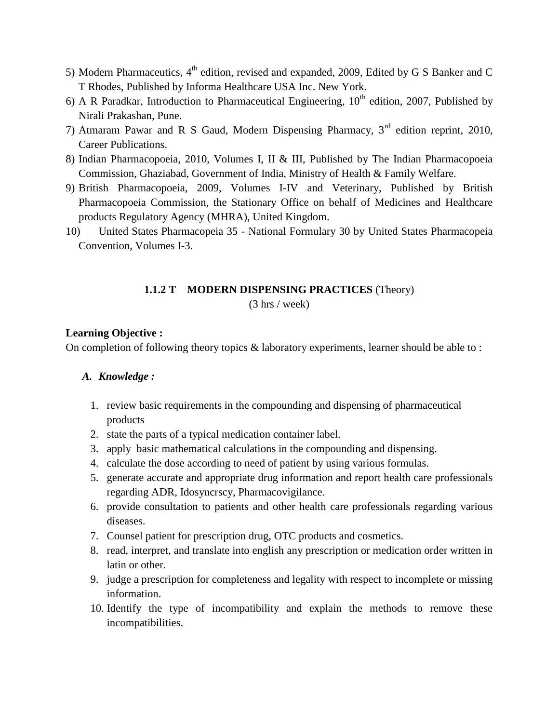- 5) Modern Pharmaceutics,  $4<sup>th</sup>$  edition, revised and expanded, 2009, Edited by G S Banker and C T Rhodes, Published by Informa Healthcare USA Inc. New York.
- 6) A R Paradkar, Introduction to Pharmaceutical Engineering,  $10<sup>th</sup>$  edition, 2007, Published by Nirali Prakashan, Pune.
- 7) Atmaram Pawar and R S Gaud, Modern Dispensing Pharmacy, 3rd edition reprint, 2010, Career Publications.
- 8) Indian Pharmacopoeia, 2010, Volumes I, II & III, Published by The Indian Pharmacopoeia Commission, Ghaziabad, Government of India, Ministry of Health & Family Welfare.
- 9) British Pharmacopoeia, 2009, Volumes I-IV and Veterinary, Published by British Pharmacopoeia Commission, the Stationary Office on behalf of Medicines and Healthcare products Regulatory Agency (MHRA), United Kingdom.
- 10) United States Pharmacopeia 35 National Formulary 30 by United States Pharmacopeia Convention, Volumes I-3.

#### **1.1.2 T MODERN DISPENSING PRACTICES** (Theory)

(3 hrs / week)

#### **Learning Objective :**

On completion of following theory topics & laboratory experiments, learner should be able to :

## *A. Knowledge :*

- 1. review basic requirements in the compounding and dispensing of pharmaceutical products
- 2. state the parts of a typical medication container label.
- 3. apply basic mathematical calculations in the compounding and dispensing.
- 4. calculate the dose according to need of patient by using various formulas.
- 5. generate accurate and appropriate drug information and report health care professionals regarding ADR, Idosyncrscy, Pharmacovigilance.
- 6. provide consultation to patients and other health care professionals regarding various diseases.
- 7. Counsel patient for prescription drug, OTC products and cosmetics.
- 8. read, interpret, and translate into english any prescription or medication order written in latin or other.
- 9. judge a prescription for completeness and legality with respect to incomplete or missing information.
- 10. Identify the type of incompatibility and explain the methods to remove these incompatibilities.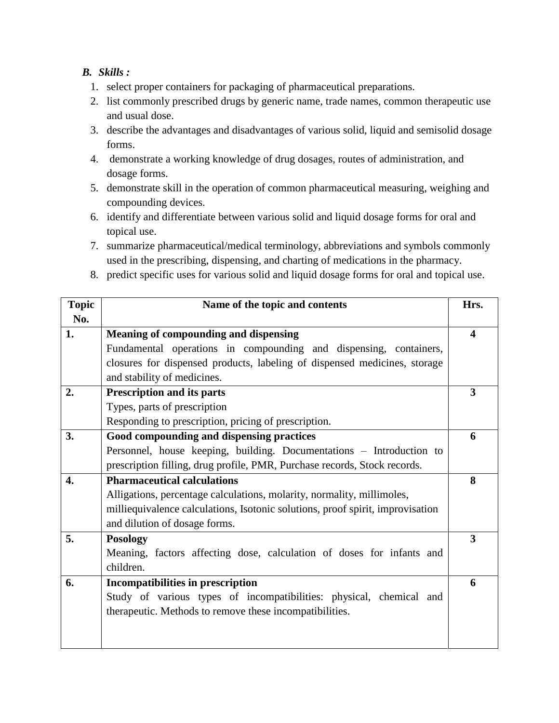## *B. Skills :*

- 1. select proper containers for packaging of pharmaceutical preparations.
- 2. list commonly prescribed drugs by generic name, trade names, common therapeutic use and usual dose.
- 3. describe the advantages and disadvantages of various solid, liquid and semisolid dosage forms.
- 4. demonstrate a working knowledge of drug dosages, routes of administration, and dosage forms.
- 5. demonstrate skill in the operation of common pharmaceutical measuring, weighing and compounding devices.
- 6. identify and differentiate between various solid and liquid dosage forms for oral and topical use.
- 7. summarize pharmaceutical/medical terminology, abbreviations and symbols commonly used in the prescribing, dispensing, and charting of medications in the pharmacy.
- 8. predict specific uses for various solid and liquid dosage forms for oral and topical use.

| <b>Topic</b> | Name of the topic and contents                                                 | Hrs.             |
|--------------|--------------------------------------------------------------------------------|------------------|
| No.          |                                                                                |                  |
| 1.           | Meaning of compounding and dispensing                                          | $\boldsymbol{4}$ |
|              | Fundamental operations in compounding and dispensing, containers,              |                  |
|              | closures for dispensed products, labeling of dispensed medicines, storage      |                  |
|              | and stability of medicines.                                                    |                  |
| 2.           | <b>Prescription and its parts</b>                                              | 3                |
|              | Types, parts of prescription                                                   |                  |
|              | Responding to prescription, pricing of prescription.                           |                  |
| 3.           | Good compounding and dispensing practices                                      | 6                |
|              | Personnel, house keeping, building. Documentations - Introduction to           |                  |
|              | prescription filling, drug profile, PMR, Purchase records, Stock records.      |                  |
| 4.           | <b>Pharmaceutical calculations</b>                                             | 8                |
|              | Alligations, percentage calculations, molarity, normality, millimoles,         |                  |
|              | milliequivalence calculations, Isotonic solutions, proof spirit, improvisation |                  |
|              | and dilution of dosage forms.                                                  |                  |
| 5.           | <b>Posology</b>                                                                | 3                |
|              | Meaning, factors affecting dose, calculation of doses for infants and          |                  |
|              | children.                                                                      |                  |
| 6.           | Incompatibilities in prescription                                              | 6                |
|              | Study of various types of incompatibilities: physical, chemical and            |                  |
|              | therapeutic. Methods to remove these incompatibilities.                        |                  |
|              |                                                                                |                  |
|              |                                                                                |                  |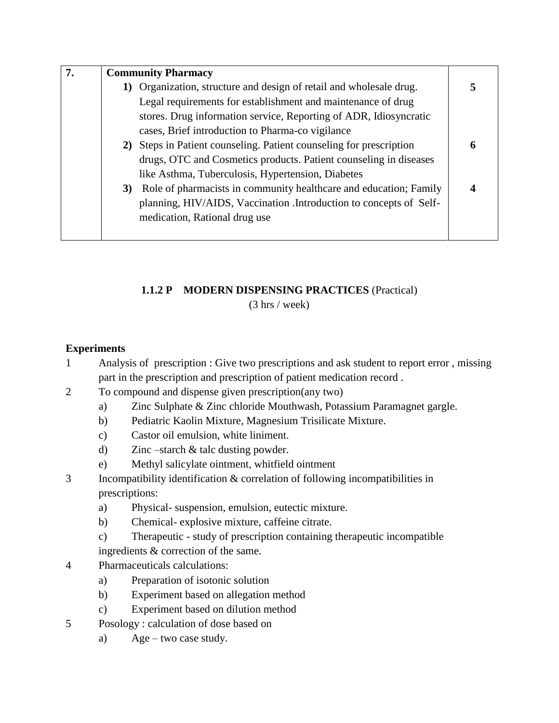| 7. | <b>Community Pharmacy</b>                                            |   |
|----|----------------------------------------------------------------------|---|
|    | 1) Organization, structure and design of retail and wholesale drug.  | 5 |
|    | Legal requirements for establishment and maintenance of drug         |   |
|    | stores. Drug information service, Reporting of ADR, Idiosyncratic    |   |
|    | cases, Brief introduction to Pharma-co vigilance                     |   |
|    | 2) Steps in Patient counseling. Patient counseling for prescription  | 6 |
|    | drugs, OTC and Cosmetics products. Patient counseling in diseases    |   |
|    | like Asthma, Tuberculosis, Hypertension, Diabetes                    |   |
|    | 3) Role of pharmacists in community healthcare and education; Family |   |
|    | planning, HIV/AIDS, Vaccination .Introduction to concepts of Self-   |   |
|    | medication, Rational drug use                                        |   |
|    |                                                                      |   |

## **1.1.2 P MODERN DISPENSING PRACTICES** (Practical)

(3 hrs / week)

## **Experiments**

- 1 Analysis of prescription : Give two prescriptions and ask student to report error , missing part in the prescription and prescription of patient medication record .
- 2 To compound and dispense given prescription(any two)
	- a) Zinc Sulphate & Zinc chloride Mouthwash, Potassium Paramagnet gargle.
	- b) Pediatric Kaolin Mixture, Magnesium Trisilicate Mixture.
	- c) Castor oil emulsion, white liniment.
	- d) Zinc –starch & talc dusting powder.
	- e) Methyl salicylate ointment, whitfield ointment
- 3 Incompatibility identification & correlation of following incompatibilities in prescriptions:
	- a) Physical- suspension, emulsion, eutectic mixture.
	- b) Chemical- explosive mixture, caffeine citrate.
	- c) Therapeutic study of prescription containing therapeutic incompatible ingredients & correction of the same.
- 4 Pharmaceuticals calculations:
	- a) Preparation of isotonic solution
	- b) Experiment based on allegation method
	- c) Experiment based on dilution method
- 5 Posology : calculation of dose based on
	- a) Age two case study.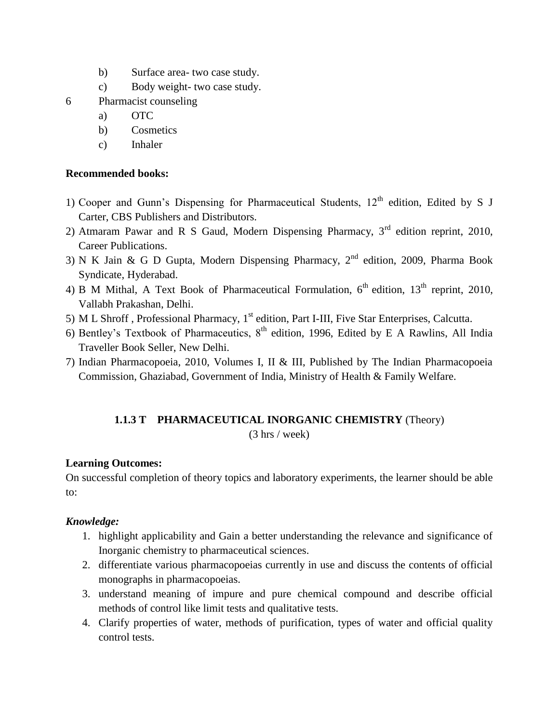- b) Surface area- two case study.
- c) Body weight- two case study.
- 6 Pharmacist counseling
	- a) OTC
	- b) Cosmetics
	- c) Inhaler

## **Recommended books:**

- 1) Cooper and Gunn's Dispensing for Pharmaceutical Students,  $12<sup>th</sup>$  edition, Edited by S J Carter, CBS Publishers and Distributors.
- 2) Atmaram Pawar and R S Gaud, Modern Dispensing Pharmacy,  $3<sup>rd</sup>$  edition reprint, 2010, Career Publications.
- 3) N K Jain & G D Gupta, Modern Dispensing Pharmacy, 2nd edition, 2009, Pharma Book Syndicate, Hyderabad.
- 4) B M Mithal, A Text Book of Pharmaceutical Formulation,  $6<sup>th</sup>$  edition,  $13<sup>th</sup>$  reprint, 2010, Vallabh Prakashan, Delhi.
- 5) M L Shroff, Professional Pharmacy, 1<sup>st</sup> edition, Part I-III, Five Star Enterprises, Calcutta.
- 6) Bentley's Textbook of Pharmaceutics,  $8<sup>th</sup>$  edition, 1996, Edited by E A Rawlins, All India Traveller Book Seller, New Delhi.
- 7) Indian Pharmacopoeia, 2010, Volumes I, II & III, Published by The Indian Pharmacopoeia Commission, Ghaziabad, Government of India, Ministry of Health & Family Welfare.

## **1.1.3 T PHARMACEUTICAL INORGANIC CHEMISTRY** (Theory)

(3 hrs / week)

## **Learning Outcomes:**

On successful completion of theory topics and laboratory experiments, the learner should be able to:

## *Knowledge:*

- 1. highlight applicability and Gain a better understanding the relevance and significance of Inorganic chemistry to pharmaceutical sciences.
- 2. differentiate various pharmacopoeias currently in use and discuss the contents of official monographs in pharmacopoeias.
- 3. understand meaning of impure and pure chemical compound and describe official methods of control like limit tests and qualitative tests.
- 4. Clarify properties of water, methods of purification, types of water and official quality control tests.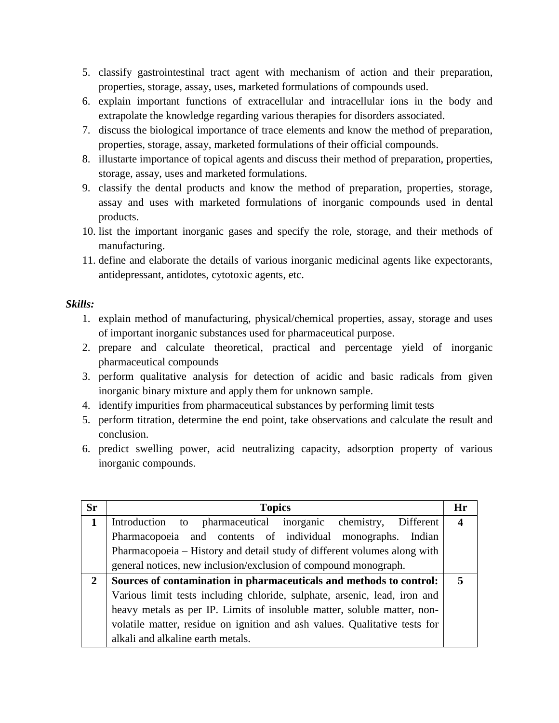- 5. classify gastrointestinal tract agent with mechanism of action and their preparation, properties, storage, assay, uses, marketed formulations of compounds used.
- 6. explain important functions of extracellular and intracellular ions in the body and extrapolate the knowledge regarding various therapies for disorders associated.
- 7. discuss the biological importance of trace elements and know the method of preparation, properties, storage, assay, marketed formulations of their official compounds.
- 8. illustarte importance of topical agents and discuss their method of preparation, properties, storage, assay, uses and marketed formulations.
- 9. classify the dental products and know the method of preparation, properties, storage, assay and uses with marketed formulations of inorganic compounds used in dental products.
- 10. list the important inorganic gases and specify the role, storage, and their methods of manufacturing.
- 11. define and elaborate the details of various inorganic medicinal agents like expectorants, antidepressant, antidotes, cytotoxic agents, etc.

#### *Skills:*

- 1. explain method of manufacturing, physical/chemical properties, assay, storage and uses of important inorganic substances used for pharmaceutical purpose.
- 2. prepare and calculate theoretical, practical and percentage yield of inorganic pharmaceutical compounds
- 3. perform qualitative analysis for detection of acidic and basic radicals from given inorganic binary mixture and apply them for unknown sample.
- 4. identify impurities from pharmaceutical substances by performing limit tests
- 5. perform titration, determine the end point, take observations and calculate the result and conclusion.
- 6. predict swelling power, acid neutralizing capacity, adsorption property of various inorganic compounds.

| <b>Sr</b>    | <b>Topics</b>                                                              | Hr               |
|--------------|----------------------------------------------------------------------------|------------------|
| 1            | Introduction to pharmaceutical inorganic chemistry, Different              | $\boldsymbol{4}$ |
|              | Pharmacopoeia and contents of individual monographs. Indian                |                  |
|              | Pharmacopoeia – History and detail study of different volumes along with   |                  |
|              | general notices, new inclusion/exclusion of compound monograph.            |                  |
| $\mathbf{2}$ | Sources of contamination in pharmaceuticals and methods to control:        |                  |
|              | Various limit tests including chloride, sulphate, arsenic, lead, iron and  |                  |
|              | heavy metals as per IP. Limits of insoluble matter, soluble matter, non-   |                  |
|              | volatile matter, residue on ignition and ash values. Qualitative tests for |                  |
|              | alkali and alkaline earth metals.                                          |                  |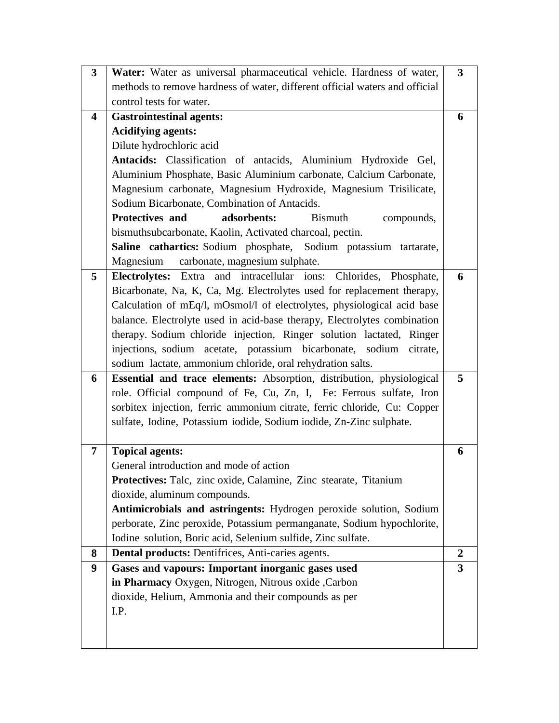| $\overline{\mathbf{3}}$ | Water: Water as universal pharmaceutical vehicle. Hardness of water,        | $\mathbf{3}$   |
|-------------------------|-----------------------------------------------------------------------------|----------------|
|                         | methods to remove hardness of water, different official waters and official |                |
|                         | control tests for water.                                                    |                |
| 4                       | <b>Gastrointestinal agents:</b>                                             | 6              |
|                         | <b>Acidifying agents:</b>                                                   |                |
|                         | Dilute hydrochloric acid                                                    |                |
|                         | Antacids: Classification of antacids, Aluminium Hydroxide Gel,              |                |
|                         | Aluminium Phosphate, Basic Aluminium carbonate, Calcium Carbonate,          |                |
|                         | Magnesium carbonate, Magnesium Hydroxide, Magnesium Trisilicate,            |                |
|                         | Sodium Bicarbonate, Combination of Antacids.                                |                |
|                         | <b>Protectives and</b><br>adsorbents:<br><b>Bismuth</b><br>compounds,       |                |
|                         | bismuthsubcarbonate, Kaolin, Activated charcoal, pectin.                    |                |
|                         | Saline cathartics: Sodium phosphate, Sodium potassium tartarate,            |                |
|                         | Magnesium carbonate, magnesium sulphate.                                    |                |
| 5                       | Electrolytes: Extra and intracellular ions: Chlorides, Phosphate,           | 6              |
|                         | Bicarbonate, Na, K, Ca, Mg. Electrolytes used for replacement therapy,      |                |
|                         | Calculation of mEq/l, mOsmol/l of electrolytes, physiological acid base     |                |
|                         | balance. Electrolyte used in acid-base therapy, Electrolytes combination    |                |
|                         | therapy. Sodium chloride injection, Ringer solution lactated, Ringer        |                |
|                         | injections, sodium acetate, potassium bicarbonate, sodium citrate,          |                |
|                         | sodium lactate, ammonium chloride, oral rehydration salts.                  |                |
| 6                       | Essential and trace elements: Absorption, distribution, physiological       | 5              |
|                         | role. Official compound of Fe, Cu, Zn, I, Fe: Ferrous sulfate, Iron         |                |
|                         | sorbitex injection, ferric ammonium citrate, ferric chloride, Cu: Copper    |                |
|                         | sulfate, Iodine, Potassium iodide, Sodium iodide, Zn-Zinc sulphate.         |                |
|                         |                                                                             |                |
| 7                       | <b>Topical agents:</b>                                                      | 6              |
|                         | General introduction and mode of action                                     |                |
|                         | Protectives: Talc, zinc oxide, Calamine, Zinc stearate, Titanium            |                |
|                         | dioxide, aluminum compounds.                                                |                |
|                         | Antimicrobials and astringents: Hydrogen peroxide solution, Sodium          |                |
|                         | perborate, Zinc peroxide, Potassium permanganate, Sodium hypochlorite,      |                |
|                         | Iodine solution, Boric acid, Selenium sulfide, Zinc sulfate.                |                |
| 8                       | <b>Dental products:</b> Dentifrices, Anti-caries agents.                    | $\overline{2}$ |
| 9                       | Gases and vapours: Important inorganic gases used                           | $\mathbf{3}$   |
|                         | in Pharmacy Oxygen, Nitrogen, Nitrous oxide , Carbon                        |                |
|                         | dioxide, Helium, Ammonia and their compounds as per                         |                |
|                         | I.P.                                                                        |                |
|                         |                                                                             |                |
|                         |                                                                             |                |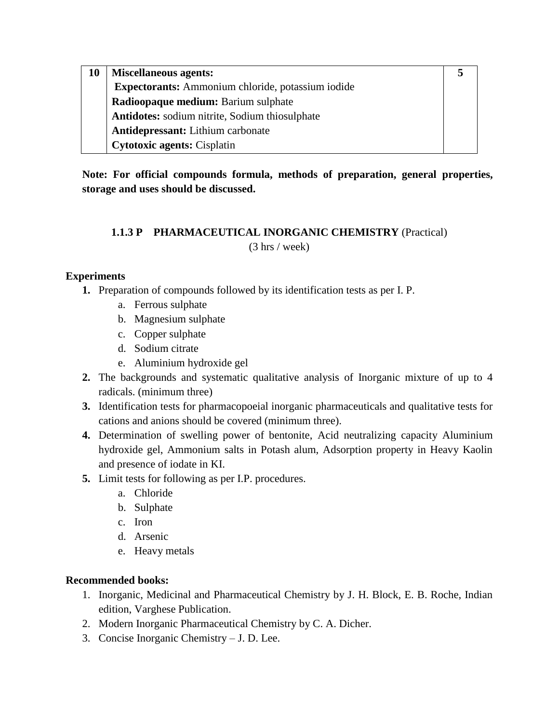| 10 | <b>Miscellaneous agents:</b>                      |  |
|----|---------------------------------------------------|--|
|    | Expectorants: Ammonium chloride, potassium iodide |  |
|    | Radioopaque medium: Barium sulphate               |  |
|    | Antidotes: sodium nitrite, Sodium thiosulphate    |  |
|    | <b>Antidepressant:</b> Lithium carbonate          |  |
|    | <b>Cytotoxic agents: Cisplatin</b>                |  |

**Note: For official compounds formula, methods of preparation, general properties, storage and uses should be discussed.**

## **1.1.3 P PHARMACEUTICAL INORGANIC CHEMISTRY** (Practical)

(3 hrs / week)

## **Experiments**

- **1.** Preparation of compounds followed by its identification tests as per I. P.
	- a. Ferrous sulphate
	- b. Magnesium sulphate
	- c. Copper sulphate
	- d. Sodium citrate
	- e. Aluminium hydroxide gel
- **2.** The backgrounds and systematic qualitative analysis of Inorganic mixture of up to 4 radicals. (minimum three)
- **3.** Identification tests for pharmacopoeial inorganic pharmaceuticals and qualitative tests for cations and anions should be covered (minimum three).
- **4.** Determination of swelling power of bentonite, Acid neutralizing capacity Aluminium hydroxide gel, Ammonium salts in Potash alum, Adsorption property in Heavy Kaolin and presence of iodate in KI.
- **5.** Limit tests for following as per I.P. procedures.
	- a. Chloride
	- b. Sulphate
	- c. Iron
	- d. Arsenic
	- e. Heavy metals

## **Recommended books:**

- 1. Inorganic, Medicinal and Pharmaceutical Chemistry by J. H. Block, E. B. Roche, Indian edition, Varghese Publication.
- 2. Modern Inorganic Pharmaceutical Chemistry by C. A. Dicher.
- 3. Concise Inorganic Chemistry J. D. Lee.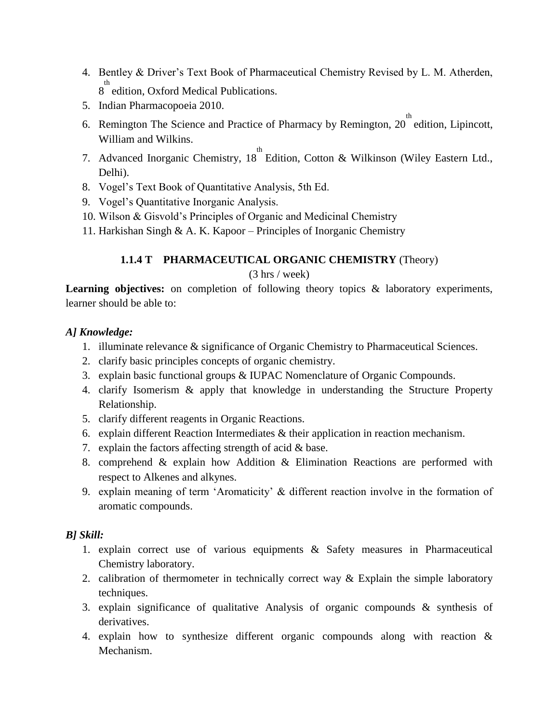- 4. Bentley & Driver"s Text Book of Pharmaceutical Chemistry Revised by L. M. Atherden, <sup>th</sup> edition, Oxford Medical Publications.
- 5. Indian Pharmacopoeia 2010.
- 6. Remington The Science and Practice of Pharmacy by Remington,  $20^{th}$  edition, Lipincott, William and Wilkins.
- 7. Advanced Inorganic Chemistry, 18<sup>th</sup> Edition, Cotton & Wilkinson (Wiley Eastern Ltd., Delhi).
- 8. Vogel"s Text Book of Quantitative Analysis, 5th Ed.
- 9. Vogel"s Quantitative Inorganic Analysis.
- 10. Wilson & Gisvold"s Principles of Organic and Medicinal Chemistry
- 11. Harkishan Singh & A. K. Kapoor Principles of Inorganic Chemistry

## **1.1.4 T PHARMACEUTICAL ORGANIC CHEMISTRY** (Theory)

## (3 hrs / week)

Learning objectives: on completion of following theory topics & laboratory experiments, learner should be able to:

## *A] Knowledge:*

- 1. illuminate relevance & significance of Organic Chemistry to Pharmaceutical Sciences.
- 2. clarify basic principles concepts of organic chemistry.
- 3. explain basic functional groups & IUPAC Nomenclature of Organic Compounds.
- 4. clarify Isomerism & apply that knowledge in understanding the Structure Property Relationship.
- 5. clarify different reagents in Organic Reactions.
- 6. explain different Reaction Intermediates & their application in reaction mechanism.
- 7. explain the factors affecting strength of acid & base.
- 8. comprehend & explain how Addition & Elimination Reactions are performed with respect to Alkenes and alkynes.
- 9. explain meaning of term "Aromaticity" & different reaction involve in the formation of aromatic compounds.

## *B] Skill:*

- 1. explain correct use of various equipments & Safety measures in Pharmaceutical Chemistry laboratory.
- 2. calibration of thermometer in technically correct way  $\&$  Explain the simple laboratory techniques.
- 3. explain significance of qualitative Analysis of organic compounds & synthesis of derivatives.
- 4. explain how to synthesize different organic compounds along with reaction & Mechanism.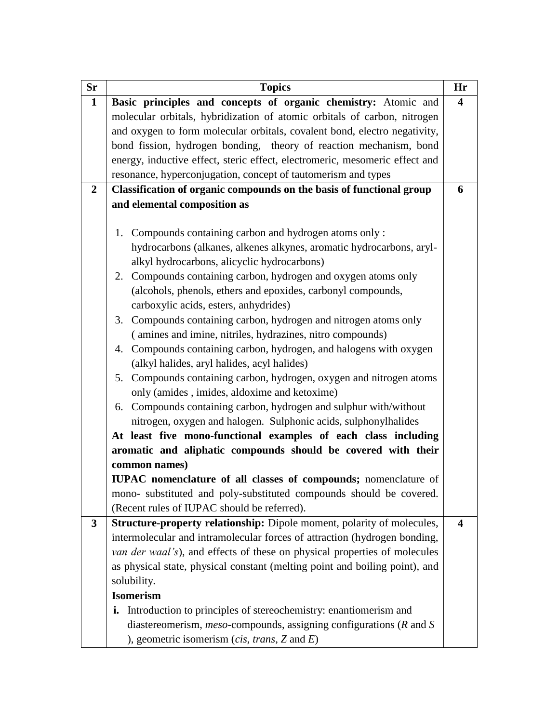| <b>Sr</b>    | <b>Topics</b>                                                               | Hr |
|--------------|-----------------------------------------------------------------------------|----|
| $\mathbf{1}$ | Basic principles and concepts of organic chemistry: Atomic and              | 4  |
|              | molecular orbitals, hybridization of atomic orbitals of carbon, nitrogen    |    |
|              | and oxygen to form molecular orbitals, covalent bond, electro negativity,   |    |
|              | bond fission, hydrogen bonding, theory of reaction mechanism, bond          |    |
|              | energy, inductive effect, steric effect, electromeric, mesomeric effect and |    |
|              | resonance, hyperconjugation, concept of tautomerism and types               |    |
| $\mathbf{2}$ | Classification of organic compounds on the basis of functional group        | 6  |
|              | and elemental composition as                                                |    |
|              |                                                                             |    |
|              | 1. Compounds containing carbon and hydrogen atoms only:                     |    |
|              | hydrocarbons (alkanes, alkenes alkynes, aromatic hydrocarbons, aryl-        |    |
|              | alkyl hydrocarbons, alicyclic hydrocarbons)                                 |    |
|              | 2. Compounds containing carbon, hydrogen and oxygen atoms only              |    |
|              | (alcohols, phenols, ethers and epoxides, carbonyl compounds,                |    |
|              | carboxylic acids, esters, anhydrides)                                       |    |
|              | 3. Compounds containing carbon, hydrogen and nitrogen atoms only            |    |
|              | (amines and imine, nitriles, hydrazines, nitro compounds)                   |    |
|              | 4. Compounds containing carbon, hydrogen, and halogens with oxygen          |    |
|              | (alkyl halides, aryl halides, acyl halides)                                 |    |
|              | 5. Compounds containing carbon, hydrogen, oxygen and nitrogen atoms         |    |
|              | only (amides, imides, aldoxime and ketoxime)                                |    |
|              | 6. Compounds containing carbon, hydrogen and sulphur with/without           |    |
|              | nitrogen, oxygen and halogen. Sulphonic acids, sulphonylhalides             |    |
|              | At least five mono-functional examples of each class including              |    |
|              | aromatic and aliphatic compounds should be covered with their               |    |
|              | common names)                                                               |    |
|              | IUPAC nomenclature of all classes of compounds; nomenclature of             |    |
|              | mono- substituted and poly-substituted compounds should be covered.         |    |
|              | (Recent rules of IUPAC should be referred).                                 |    |
| 3            | Structure-property relationship: Dipole moment, polarity of molecules,      | 4  |
|              | intermolecular and intramolecular forces of attraction (hydrogen bonding,   |    |
|              | van der waal's), and effects of these on physical properties of molecules   |    |
|              | as physical state, physical constant (melting point and boiling point), and |    |
|              | solubility.                                                                 |    |
|              | <b>Isomerism</b>                                                            |    |
|              | <b>i.</b> Introduction to principles of stereochemistry: enantiomerism and  |    |
|              | diastereomerism, $meso$ -compounds, assigning configurations ( $R$ and $S$  |    |
|              | ), geometric isomerism ( <i>cis, trans</i> , $Z$ and $E$ )                  |    |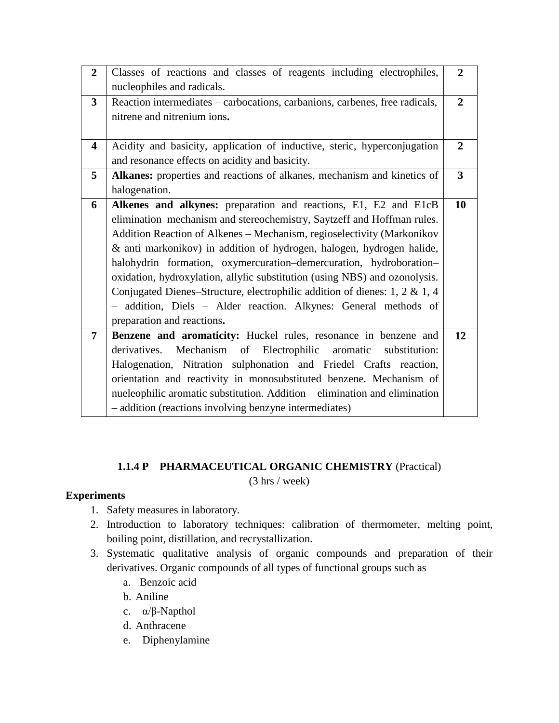| $\overline{2}$          | Classes of reactions and classes of reagents including electrophiles,       | $\overline{2}$ |
|-------------------------|-----------------------------------------------------------------------------|----------------|
|                         | nucleophiles and radicals.                                                  |                |
| $\overline{3}$          | Reaction intermediates – carbocations, carbanions, carbenes, free radicals, | $\overline{2}$ |
|                         | nitrene and nitrenium ions.                                                 |                |
|                         |                                                                             |                |
| $\overline{\mathbf{4}}$ | Acidity and basicity, application of inductive, steric, hyperconjugation    | $\overline{2}$ |
|                         | and resonance effects on acidity and basicity.                              |                |
| 5                       | Alkanes: properties and reactions of alkanes, mechanism and kinetics of     | $\mathbf{3}$   |
|                         | halogenation.                                                               |                |
| 6                       | Alkenes and alkynes: preparation and reactions, E1, E2 and E1cB             | 10             |
|                         | elimination-mechanism and stereochemistry, Saytzeff and Hoffman rules.      |                |
|                         | Addition Reaction of Alkenes – Mechanism, regioselectivity (Markonikov      |                |
|                         | & anti markonikov) in addition of hydrogen, halogen, hydrogen halide,       |                |
|                         | halohydrin formation, oxymercuration-demercuration, hydroboration-          |                |
|                         | oxidation, hydroxylation, allylic substitution (using NBS) and ozonolysis.  |                |
|                         | Conjugated Dienes-Structure, electrophilic addition of dienes: 1, 2 & 1, 4  |                |
|                         | - addition, Diels - Alder reaction. Alkynes: General methods of             |                |
|                         | preparation and reactions.                                                  |                |
| $\overline{7}$          | Benzene and aromaticity: Huckel rules, resonance in benzene and             | 12             |
|                         | derivatives. Mechanism of Electrophilic<br>aromatic<br>substitution:        |                |
|                         | Halogenation, Nitration sulphonation and Friedel Crafts reaction,           |                |
|                         | orientation and reactivity in monosubstituted benzene. Mechanism of         |                |
|                         | nueleophilic aromatic substitution. Addition – elimination and elimination  |                |
|                         | - addition (reactions involving benzyne intermediates)                      |                |

## **1.1.4 P PHARMACEUTICAL ORGANIC CHEMISTRY** (Practical)

(3 hrs / week)

## **Experiments**

- 1. Safety measures in laboratory.
- 2. Introduction to laboratory techniques: calibration of thermometer, melting point, boiling point, distillation, and recrystallization.
- 3. Systematic qualitative analysis of organic compounds and preparation of their derivatives. Organic compounds of all types of functional groups such as
	- a. Benzoic acid
	- b. Aniline
	- c. α/β-Napthol
	- d. Anthracene
	- e. Diphenylamine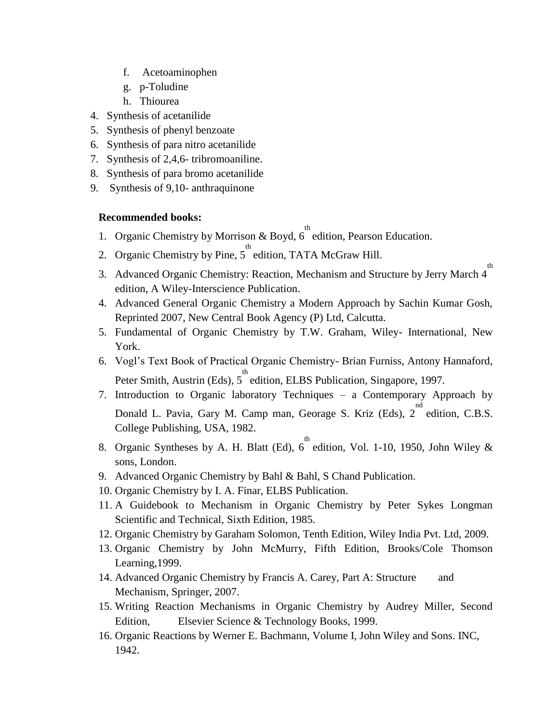- f. Acetoaminophen
- g. p-Toludine
- h. Thiourea
- 4. Synthesis of acetanilide
- 5. Synthesis of phenyl benzoate
- 6. Synthesis of para nitro acetanilide
- 7. Synthesis of 2,4,6- tribromoaniline.
- 8. Synthesis of para bromo acetanilide
- 9. Synthesis of 9,10- anthraquinone

#### **Recommended books:**

- 1. Organic Chemistry by Morrison & Boyd,  $6^{th}$  edition, Pearson Education.
- 2. Organic Chemistry by Pine,  $5^{th}$  edition, TATA McGraw Hill.
- 3. Advanced Organic Chemistry: Reaction, Mechanism and Structure by Jerry March 4 edition, A Wiley-Interscience Publication.
- 4. Advanced General Organic Chemistry a Modern Approach by Sachin Kumar Gosh, Reprinted 2007, New Central Book Agency (P) Ltd, Calcutta.
- 5. Fundamental of Organic Chemistry by T.W. Graham, Wiley- International, New York.
- 6. Vogl"s Text Book of Practical Organic Chemistry- Brian Furniss, Antony Hannaford, Peter Smith, Austrin (Eds), 5<sup>th</sup> edition, ELBS Publication, Singapore, 1997.
- 7. Introduction to Organic laboratory Techniques a Contemporary Approach by Donald L. Pavia, Gary M. Camp man, Georage S. Kriz (Eds),  $2^{nd}$  edition, C.B.S. College Publishing, USA, 1982.
- 8. Organic Syntheses by A. H. Blatt (Ed),  $6^{th}$  edition, Vol. 1-10, 1950, John Wiley & sons, London.
- 9. Advanced Organic Chemistry by Bahl & Bahl, S Chand Publication.
- 10. Organic Chemistry by I. A. Finar, ELBS Publication.
- 11. A Guidebook to Mechanism in Organic Chemistry by Peter Sykes Longman Scientific and Technical, Sixth Edition, 1985.
- 12. Organic Chemistry by Garaham Solomon, Tenth Edition, Wiley India Pvt. Ltd, 2009.
- 13. Organic Chemistry by John McMurry, Fifth Edition, Brooks/Cole Thomson Learning,1999.
- 14. Advanced Organic Chemistry by Francis A. Carey, Part A: Structure and Mechanism, Springer, 2007.
- 15. Writing Reaction Mechanisms in Organic Chemistry by Audrey Miller, Second Edition, Elsevier Science & Technology Books, 1999.
- 16. Organic Reactions by Werner E. Bachmann, Volume I, John Wiley and Sons. INC, 1942.

th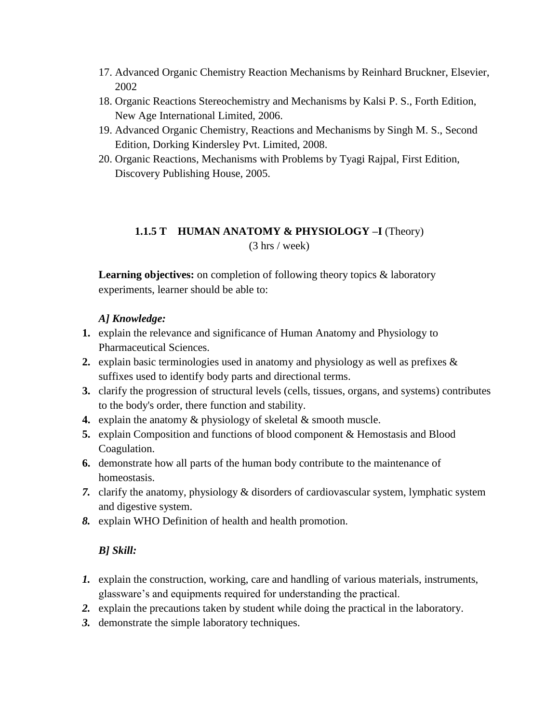- 17. Advanced Organic Chemistry Reaction Mechanisms by Reinhard Bruckner, Elsevier, 2002
- 18. Organic Reactions Stereochemistry and Mechanisms by Kalsi P. S., Forth Edition, New Age International Limited, 2006.
- 19. Advanced Organic Chemistry, Reactions and Mechanisms by Singh M. S., Second Edition, Dorking Kindersley Pvt. Limited, 2008.
- 20. Organic Reactions, Mechanisms with Problems by Tyagi Rajpal, First Edition, Discovery Publishing House, 2005.

# **1.1.5 T HUMAN ANATOMY & PHYSIOLOGY –I (Theory)**

(3 hrs / week)

**Learning objectives:** on completion of following theory topics & laboratory experiments, learner should be able to:

## *A] Knowledge:*

- **1.** explain the relevance and significance of Human Anatomy and Physiology to Pharmaceutical Sciences.
- **2.** explain basic terminologies used in anatomy and physiology as well as prefixes & suffixes used to identify body parts and directional terms.
- **3.** clarify the progression of structural levels (cells, tissues, organs, and systems) contributes to the body's order, there function and stability.
- **4.** explain the anatomy & physiology of skeletal & smooth muscle.
- **5.** explain Composition and functions of blood component & Hemostasis and Blood Coagulation.
- **6.** demonstrate how all parts of the human body contribute to the maintenance of homeostasis.
- *7.* clarify the anatomy, physiology & disorders of cardiovascular system, lymphatic system and digestive system.
- *8.* explain WHO Definition of health and health promotion.

## *B] Skill:*

- *1.* explain the construction, working, care and handling of various materials, instruments, glassware"s and equipments required for understanding the practical.
- *2.* explain the precautions taken by student while doing the practical in the laboratory.
- *3.* demonstrate the simple laboratory techniques.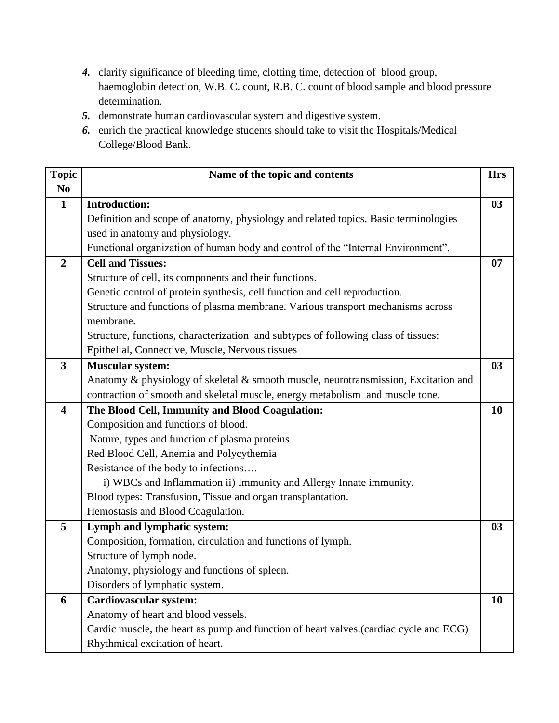- *4.* clarify significance of bleeding time, clotting time, detection of blood group, haemoglobin detection, W.B. C. count, R.B. C. count of blood sample and blood pressure determination.
- *5.* demonstrate human cardiovascular system and digestive system.
- *6.* enrich the practical knowledge students should take to visit the Hospitals/Medical College/Blood Bank.

| <b>Topic</b>            | Name of the topic and contents                                                         | <b>Hrs</b> |
|-------------------------|----------------------------------------------------------------------------------------|------------|
| N <sub>0</sub>          |                                                                                        |            |
| $\mathbf{1}$            | <b>Introduction:</b>                                                                   | 03         |
|                         | Definition and scope of anatomy, physiology and related topics. Basic terminologies    |            |
|                         | used in anatomy and physiology.                                                        |            |
|                         | Functional organization of human body and control of the "Internal Environment".       |            |
| $\overline{2}$          | <b>Cell and Tissues:</b>                                                               | 07         |
|                         | Structure of cell, its components and their functions.                                 |            |
|                         | Genetic control of protein synthesis, cell function and cell reproduction.             |            |
|                         | Structure and functions of plasma membrane. Various transport mechanisms across        |            |
|                         | membrane.                                                                              |            |
|                         | Structure, functions, characterization and subtypes of following class of tissues:     |            |
|                         | Epithelial, Connective, Muscle, Nervous tissues                                        |            |
| $\overline{\mathbf{3}}$ | <b>Muscular system:</b>                                                                | 03         |
|                         | Anatomy & physiology of skeletal & smooth muscle, neurotransmission, Excitation and    |            |
|                         | contraction of smooth and skeletal muscle, energy metabolism and muscle tone.          |            |
| $\overline{\mathbf{4}}$ | The Blood Cell, Immunity and Blood Coagulation:                                        | 10         |
|                         | Composition and functions of blood.                                                    |            |
|                         | Nature, types and function of plasma proteins.                                         |            |
|                         | Red Blood Cell, Anemia and Polycythemia                                                |            |
|                         | Resistance of the body to infections                                                   |            |
|                         | i) WBCs and Inflammation ii) Immunity and Allergy Innate immunity.                     |            |
|                         | Blood types: Transfusion, Tissue and organ transplantation.                            |            |
|                         | Hemostasis and Blood Coagulation.                                                      |            |
| 5                       | Lymph and lymphatic system:                                                            | 03         |
|                         | Composition, formation, circulation and functions of lymph.                            |            |
|                         | Structure of lymph node.                                                               |            |
|                         | Anatomy, physiology and functions of spleen.                                           |            |
|                         | Disorders of lymphatic system.                                                         |            |
| 6                       | <b>Cardiovascular system:</b>                                                          | 10         |
|                         | Anatomy of heart and blood vessels.                                                    |            |
|                         | Cardic muscle, the heart as pump and function of heart valves. (cardiac cycle and ECG) |            |
|                         | Rhythmical excitation of heart.                                                        |            |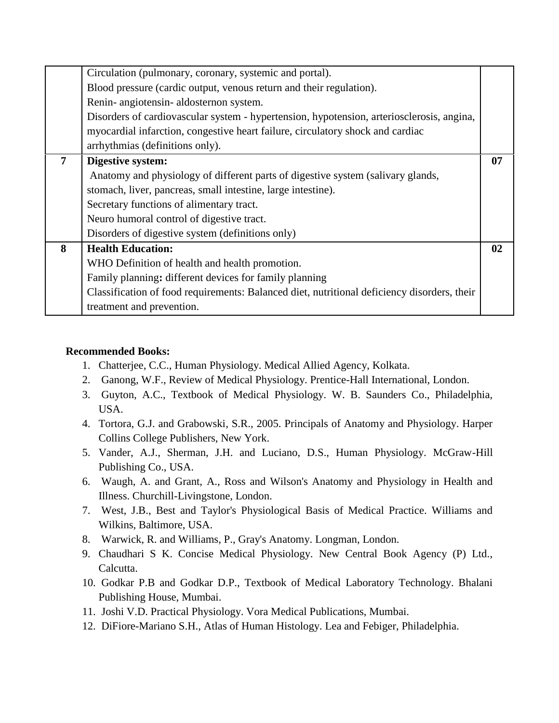|   | Circulation (pulmonary, coronary, systemic and portal).                                     |    |
|---|---------------------------------------------------------------------------------------------|----|
|   | Blood pressure (cardic output, venous return and their regulation).                         |    |
|   | Renin- angiotensin- aldosternon system.                                                     |    |
|   | Disorders of cardiovascular system - hypertension, hypotension, arteriosclerosis, angina,   |    |
|   | myocardial infarction, congestive heart failure, circulatory shock and cardiac              |    |
|   | arrhythmias (definitions only).                                                             |    |
| 7 | Digestive system:                                                                           | 07 |
|   | Anatomy and physiology of different parts of digestive system (salivary glands,             |    |
|   | stomach, liver, pancreas, small intestine, large intestine).                                |    |
|   | Secretary functions of alimentary tract.                                                    |    |
|   | Neuro humoral control of digestive tract.                                                   |    |
|   | Disorders of digestive system (definitions only)                                            |    |
| 8 | <b>Health Education:</b>                                                                    | 02 |
|   | WHO Definition of health and health promotion.                                              |    |
|   | Family planning: different devices for family planning                                      |    |
|   | Classification of food requirements: Balanced diet, nutritional deficiency disorders, their |    |
|   | treatment and prevention.                                                                   |    |

#### **Recommended Books:**

- 1. Chatterjee, C.C., Human Physiology. Medical Allied Agency, Kolkata.
- 2. Ganong, W.F., Review of Medical Physiology. Prentice-Hall International, London.
- 3. Guyton, A.C., Textbook of Medical Physiology. W. B. Saunders Co., Philadelphia, USA.
- 4. Tortora, G.J. and Grabowski, S.R., 2005. Principals of Anatomy and Physiology. Harper Collins College Publishers, New York.
- 5. Vander, A.J., Sherman, J.H. and Luciano, D.S., Human Physiology. McGraw-Hill Publishing Co., USA.
- 6. Waugh, A. and Grant, A., Ross and Wilson's Anatomy and Physiology in Health and Illness. Churchill-Livingstone, London.
- 7. West, J.B., Best and Taylor's Physiological Basis of Medical Practice. Williams and Wilkins, Baltimore, USA.
- 8. Warwick, R. and Williams, P., Gray's Anatomy. Longman, London.
- 9. Chaudhari S K. Concise Medical Physiology. New Central Book Agency (P) Ltd., Calcutta.
- 10. Godkar P.B and Godkar D.P., Textbook of Medical Laboratory Technology. Bhalani Publishing House, Mumbai.
- 11. Joshi V.D. Practical Physiology. Vora Medical Publications, Mumbai.
- 12. DiFiore-Mariano S.H., Atlas of Human Histology. Lea and Febiger, Philadelphia.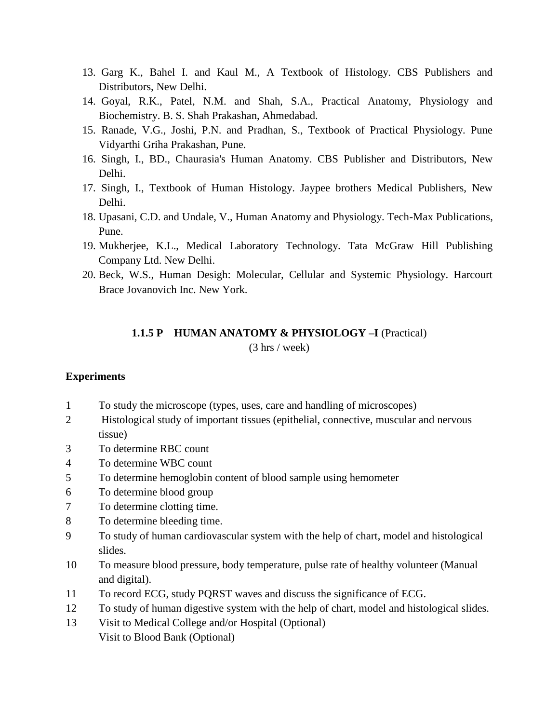- 13. Garg K., Bahel I. and Kaul M., A Textbook of Histology. CBS Publishers and Distributors, New Delhi.
- 14. Goyal, R.K., Patel, N.M. and Shah, S.A., Practical Anatomy, Physiology and Biochemistry. B. S. Shah Prakashan, Ahmedabad.
- 15. Ranade, V.G., Joshi, P.N. and Pradhan, S., Textbook of Practical Physiology. Pune Vidyarthi Griha Prakashan, Pune.
- 16. Singh, I., BD., Chaurasia's Human Anatomy. CBS Publisher and Distributors, New Delhi.
- 17. Singh, I., Textbook of Human Histology. Jaypee brothers Medical Publishers, New Delhi.
- 18. Upasani, C.D. and Undale, V., Human Anatomy and Physiology. Tech-Max Publications, Pune.
- 19. Mukherjee, K.L., Medical Laboratory Technology. Tata McGraw Hill Publishing Company Ltd. New Delhi.
- 20. Beck, W.S., Human Desigh: Molecular, Cellular and Systemic Physiology. Harcourt Brace Jovanovich Inc. New York.

## **1.1.5 P HUMAN ANATOMY & PHYSIOLOGY –I** (Practical) (3 hrs / week)

#### **Experiments**

- 1 To study the microscope (types, uses, care and handling of microscopes)
- 2 Histological study of important tissues (epithelial, connective, muscular and nervous tissue)
- 3 To determine RBC count
- 4 To determine WBC count
- 5 To determine hemoglobin content of blood sample using hemometer
- 6 To determine blood group
- 7 To determine clotting time.
- 8 To determine bleeding time.
- 9 To study of human cardiovascular system with the help of chart, model and histological slides.
- 10 To measure blood pressure, body temperature, pulse rate of healthy volunteer (Manual and digital).
- 11 To record ECG, study PQRST waves and discuss the significance of ECG.
- 12 To study of human digestive system with the help of chart, model and histological slides.
- 13 Visit to Medical College and/or Hospital (Optional) Visit to Blood Bank (Optional)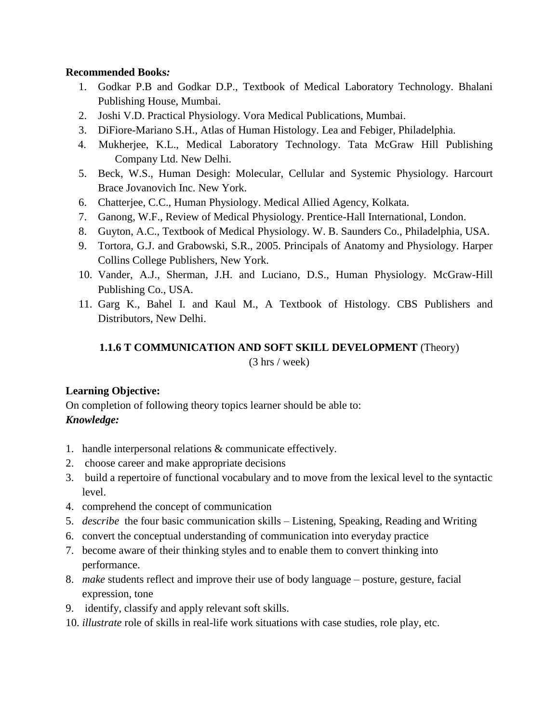### **Recommended Books***:*

- 1. Godkar P.B and Godkar D.P., Textbook of Medical Laboratory Technology. Bhalani Publishing House, Mumbai.
- 2. Joshi V.D. Practical Physiology. Vora Medical Publications, Mumbai.
- 3. DiFiore-Mariano S.H., Atlas of Human Histology. Lea and Febiger, Philadelphia.
- 4. Mukherjee, K.L., Medical Laboratory Technology. Tata McGraw Hill Publishing Company Ltd. New Delhi.
- 5. Beck, W.S., Human Desigh: Molecular, Cellular and Systemic Physiology. Harcourt Brace Jovanovich Inc. New York.
- 6. Chatterjee, C.C., Human Physiology. Medical Allied Agency, Kolkata.
- 7. Ganong, W.F., Review of Medical Physiology. Prentice-Hall International, London.
- 8. Guyton, A.C., Textbook of Medical Physiology. W. B. Saunders Co., Philadelphia, USA.
- 9. Tortora, G.J. and Grabowski, S.R., 2005. Principals of Anatomy and Physiology. Harper Collins College Publishers, New York.
- 10. Vander, A.J., Sherman, J.H. and Luciano, D.S., Human Physiology. McGraw-Hill Publishing Co., USA.
- 11. Garg K., Bahel I. and Kaul M., A Textbook of Histology. CBS Publishers and Distributors, New Delhi.

## **1.1.6 T COMMUNICATION AND SOFT SKILL DEVELOPMENT** (Theory)

(3 hrs / week)

## **Learning Objective:**

On completion of following theory topics learner should be able to: *Knowledge:*

- 1. handle interpersonal relations & communicate effectively.
- 2. choose career and make appropriate decisions
- 3. build a repertoire of functional vocabulary and to move from the lexical level to the syntactic level.
- 4. comprehend the concept of communication
- 5. *describe* the four basic communication skills Listening, Speaking, Reading and Writing
- 6. convert the conceptual understanding of communication into everyday practice
- 7. become aware of their thinking styles and to enable them to convert thinking into performance.
- 8. *make* students reflect and improve their use of body language posture, gesture, facial expression, tone
- 9. identify, classify and apply relevant soft skills.
- 10. *illustrate* role of skills in real-life work situations with case studies, role play, etc.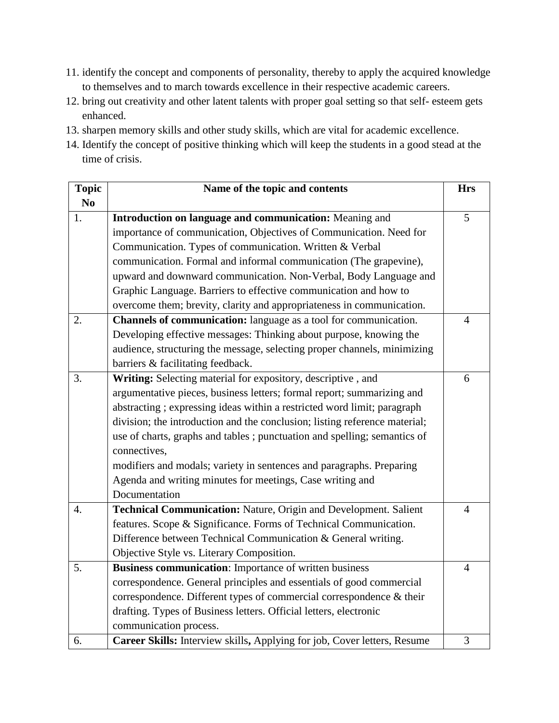- 11. identify the concept and components of personality, thereby to apply the acquired knowledge to themselves and to march towards excellence in their respective academic careers.
- 12. bring out creativity and other latent talents with proper goal setting so that self- esteem gets enhanced.
- 13. sharpen memory skills and other study skills, which are vital for academic excellence.
- 14. Identify the concept of positive thinking which will keep the students in a good stead at the time of crisis.

| <b>Topic</b>     | Name of the topic and contents                                             | <b>Hrs</b>     |
|------------------|----------------------------------------------------------------------------|----------------|
| N <sub>0</sub>   |                                                                            |                |
| 1.               | Introduction on language and communication: Meaning and                    | 5              |
|                  | importance of communication, Objectives of Communication. Need for         |                |
|                  | Communication. Types of communication. Written & Verbal                    |                |
|                  | communication. Formal and informal communication (The grapevine),          |                |
|                  | upward and downward communication. Non-Verbal, Body Language and           |                |
|                  | Graphic Language. Barriers to effective communication and how to           |                |
|                  | overcome them; brevity, clarity and appropriateness in communication.      |                |
| 2.               | Channels of communication: language as a tool for communication.           | 4              |
|                  | Developing effective messages: Thinking about purpose, knowing the         |                |
|                  | audience, structuring the message, selecting proper channels, minimizing   |                |
|                  | barriers & facilitating feedback.                                          |                |
| 3.               | Writing: Selecting material for expository, descriptive, and               | 6              |
|                  | argumentative pieces, business letters; formal report; summarizing and     |                |
|                  | abstracting; expressing ideas within a restricted word limit; paragraph    |                |
|                  | division; the introduction and the conclusion; listing reference material; |                |
|                  | use of charts, graphs and tables ; punctuation and spelling; semantics of  |                |
|                  | connectives,                                                               |                |
|                  | modifiers and modals; variety in sentences and paragraphs. Preparing       |                |
|                  | Agenda and writing minutes for meetings, Case writing and                  |                |
|                  | Documentation                                                              |                |
| $\overline{4}$ . | Technical Communication: Nature, Origin and Development. Salient           | $\overline{4}$ |
|                  | features. Scope & Significance. Forms of Technical Communication.          |                |
|                  | Difference between Technical Communication & General writing.              |                |
|                  | Objective Style vs. Literary Composition.                                  |                |
| 5.               | <b>Business communication:</b> Importance of written business              | 4              |
|                  | correspondence. General principles and essentials of good commercial       |                |
|                  | correspondence. Different types of commercial correspondence & their       |                |
|                  | drafting. Types of Business letters. Official letters, electronic          |                |
|                  | communication process.                                                     |                |
| 6.               | Career Skills: Interview skills, Applying for job, Cover letters, Resume   | 3              |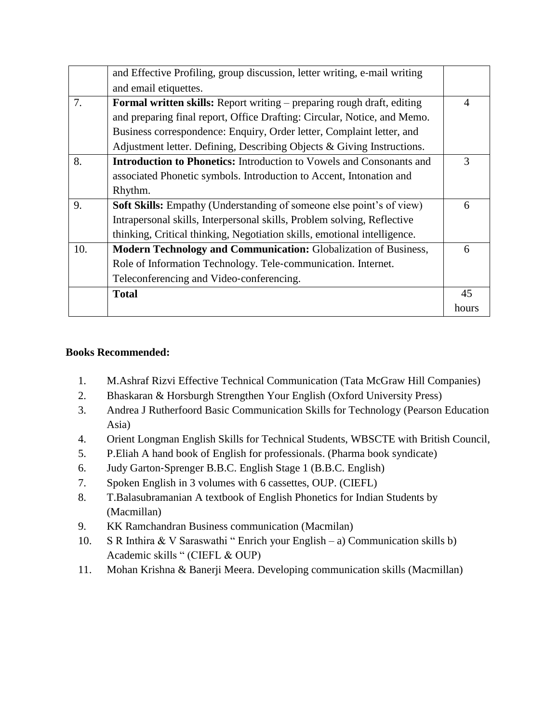|     | and Effective Profiling, group discussion, letter writing, e-mail writing     |                |
|-----|-------------------------------------------------------------------------------|----------------|
|     | and email etiquettes.                                                         |                |
| 7.  | <b>Formal written skills:</b> Report writing – preparing rough draft, editing | $\overline{4}$ |
|     | and preparing final report, Office Drafting: Circular, Notice, and Memo.      |                |
|     | Business correspondence: Enquiry, Order letter, Complaint letter, and         |                |
|     | Adjustment letter. Defining, Describing Objects & Giving Instructions.        |                |
| 8.  | <b>Introduction to Phonetics:</b> Introduction to Vowels and Consonants and   | 3              |
|     | associated Phonetic symbols. Introduction to Accent, Intonation and           |                |
|     | Rhythm.                                                                       |                |
| 9.  | Soft Skills: Empathy (Understanding of someone else point's of view)          | 6              |
|     | Intrapersonal skills, Interpersonal skills, Problem solving, Reflective       |                |
|     | thinking, Critical thinking, Negotiation skills, emotional intelligence.      |                |
| 10. | Modern Technology and Communication: Globalization of Business,               | 6              |
|     | Role of Information Technology. Tele-communication. Internet.                 |                |
|     | Teleconferencing and Video-conferencing.                                      |                |
|     | <b>Total</b>                                                                  | 45             |
|     |                                                                               | hours          |
|     |                                                                               |                |

## **Books Recommended:**

- 1. M.Ashraf Rizvi Effective Technical Communication (Tata McGraw Hill Companies)
- 2. Bhaskaran & Horsburgh Strengthen Your English (Oxford University Press)
- 3. Andrea J Rutherfoord Basic Communication Skills for Technology (Pearson Education Asia)
- 4. Orient Longman English Skills for Technical Students, WBSCTE with British Council,
- 5. P.Eliah A hand book of English for professionals. (Pharma book syndicate)
- 6. Judy Garton‐Sprenger B.B.C. English Stage 1 (B.B.C. English)
- 7. Spoken English in 3 volumes with 6 cassettes, OUP. (CIEFL)
- 8. T.Balasubramanian A textbook of English Phonetics for Indian Students by (Macmillan)
- 9. KK Ramchandran Business communication (Macmilan)
- 10. S R Inthira & V Saraswathi " Enrich your English a) Communication skills b) Academic skills " (CIEFL & OUP)
- 11. Mohan Krishna & Banerji Meera. Developing communication skills (Macmillan)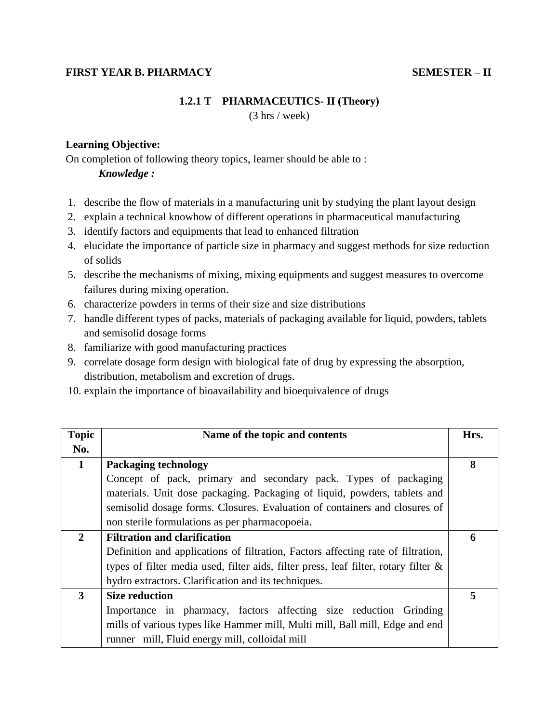### **FIRST YEAR B. PHARMACY SEMESTER – II**

#### **1.2.1 T PHARMACEUTICS- II (Theory)**

(3 hrs / week)

#### **Learning Objective:**

On completion of following theory topics, learner should be able to :

#### *Knowledge :*

- 1. describe the flow of materials in a manufacturing unit by studying the plant layout design
- 2. explain a technical knowhow of different operations in pharmaceutical manufacturing
- 3. identify factors and equipments that lead to enhanced filtration
- 4. elucidate the importance of particle size in pharmacy and suggest methods for size reduction of solids
- 5. describe the mechanisms of mixing, mixing equipments and suggest measures to overcome failures during mixing operation.
- 6. characterize powders in terms of their size and size distributions
- 7. handle different types of packs, materials of packaging available for liquid, powders, tablets and semisolid dosage forms
- 8. familiarize with good manufacturing practices
- 9. correlate dosage form design with biological fate of drug by expressing the absorption, distribution, metabolism and excretion of drugs.
- 10. explain the importance of bioavailability and bioequivalence of drugs

| <b>Topic</b> | Name of the topic and contents                                                         | Hrs. |
|--------------|----------------------------------------------------------------------------------------|------|
| No.          |                                                                                        |      |
| $\mathbf{1}$ | <b>Packaging technology</b>                                                            | 8    |
|              | Concept of pack, primary and secondary pack. Types of packaging                        |      |
|              | materials. Unit dose packaging. Packaging of liquid, powders, tablets and              |      |
|              | semisolid dosage forms. Closures. Evaluation of containers and closures of             |      |
|              | non sterile formulations as per pharmacopoeia.                                         |      |
| $\mathbf{2}$ | <b>Filtration and clarification</b>                                                    | 6    |
|              | Definition and applications of filtration, Factors affecting rate of filtration,       |      |
|              | types of filter media used, filter aids, filter press, leaf filter, rotary filter $\&$ |      |
|              | hydro extractors. Clarification and its techniques.                                    |      |
| 3            | <b>Size reduction</b>                                                                  | 5    |
|              | Importance in pharmacy, factors affecting size reduction Grinding                      |      |
|              | mills of various types like Hammer mill, Multi mill, Ball mill, Edge and end           |      |
|              | runner mill, Fluid energy mill, colloidal mill                                         |      |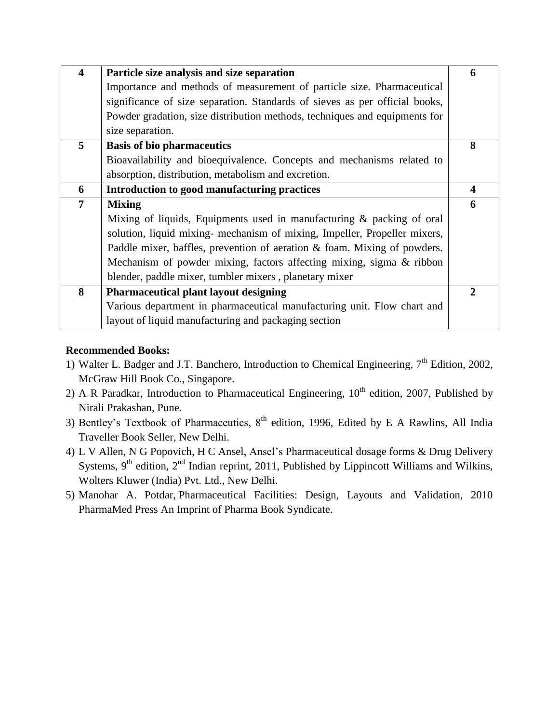| $\overline{\mathbf{4}}$ | Particle size analysis and size separation                                  | 6            |
|-------------------------|-----------------------------------------------------------------------------|--------------|
|                         | Importance and methods of measurement of particle size. Pharmaceutical      |              |
|                         | significance of size separation. Standards of sieves as per official books, |              |
|                         | Powder gradation, size distribution methods, techniques and equipments for  |              |
|                         | size separation.                                                            |              |
| 5                       | <b>Basis of bio pharmaceutics</b>                                           | 8            |
|                         | Bioavailability and bioequivalence. Concepts and mechanisms related to      |              |
|                         | absorption, distribution, metabolism and excretion.                         |              |
| 6                       | Introduction to good manufacturing practices                                | 4            |
|                         |                                                                             |              |
| 7                       | <b>Mixing</b>                                                               | 6            |
|                         | Mixing of liquids, Equipments used in manufacturing & packing of oral       |              |
|                         | solution, liquid mixing- mechanism of mixing, Impeller, Propeller mixers,   |              |
|                         | Paddle mixer, baffles, prevention of aeration & foam. Mixing of powders.    |              |
|                         | Mechanism of powder mixing, factors affecting mixing, sigma & ribbon        |              |
|                         | blender, paddle mixer, tumbler mixers, planetary mixer                      |              |
| 8                       | <b>Pharmaceutical plant layout designing</b>                                | $\mathbf{2}$ |
|                         | Various department in pharmaceutical manufacturing unit. Flow chart and     |              |

## **Recommended Books:**

- 1) Walter L. Badger and J.T. Banchero, Introduction to Chemical Engineering,  $7<sup>th</sup>$  Edition, 2002, McGraw Hill Book Co., Singapore.
- 2) A R Paradkar, Introduction to Pharmaceutical Engineering,  $10<sup>th</sup>$  edition, 2007, Published by Nirali Prakashan, Pune.
- 3) Bentley's Textbook of Pharmaceutics,  $8<sup>th</sup>$  edition, 1996, Edited by E A Rawlins, All India Traveller Book Seller, New Delhi.
- 4) [L V Allen,](http://www.flipkart.com/author/loyd-v-allen) [N G Popovich,](http://www.flipkart.com/author/nicholas-g-popovich) [H C Ansel,](http://www.flipkart.com/author/howard-c-ansel) Ansel"s Pharmaceutical dosage forms & Drug Delivery Systems,  $9<sup>th</sup>$  edition,  $2<sup>nd</sup>$  Indian reprint, 2011, Published by Lippincott Williams and Wilkins, Wolters Kluwer (India) Pvt. Ltd., New Delhi.
- 5) Manohar A. Potdar, Pharmaceutical Facilities: Design, Layouts and Validation, 2010 PharmaMed Press An Imprint of Pharma Book Syndicate.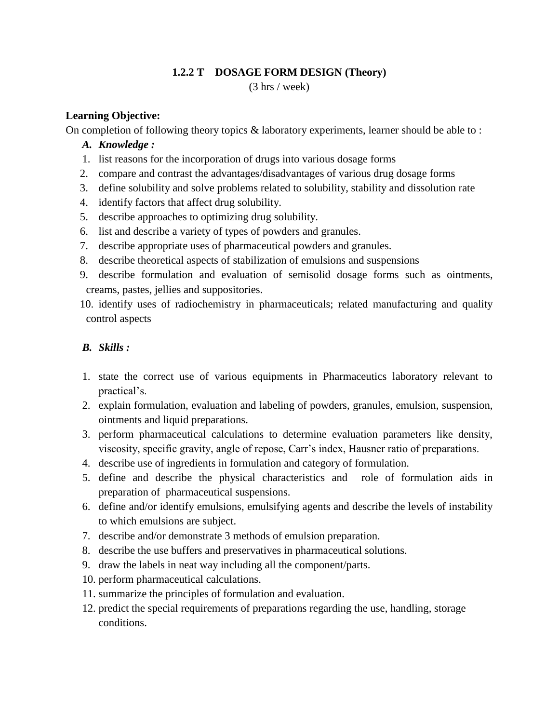## **1.2.2 T DOSAGE FORM DESIGN (Theory)**

(3 hrs / week)

## **Learning Objective:**

On completion of following theory topics & laboratory experiments, learner should be able to :

## *A. Knowledge :*

- 1. list reasons for the incorporation of drugs into various dosage forms
- 2. compare and contrast the advantages/disadvantages of various drug dosage forms
- 3. define solubility and solve problems related to solubility, stability and dissolution rate
- 4. identify factors that affect drug solubility.
- 5. describe approaches to optimizing drug solubility.
- 6. list and describe a variety of types of powders and granules.
- 7. describe appropriate uses of pharmaceutical powders and granules.
- 8. describe theoretical aspects of stabilization of emulsions and suspensions
- 9. describe formulation and evaluation of semisolid dosage forms such as ointments, creams, pastes, jellies and suppositories.
- 10. identify uses of radiochemistry in pharmaceuticals; related manufacturing and quality control aspects

## *B. Skills :*

- 1. state the correct use of various equipments in Pharmaceutics laboratory relevant to practical's.
- 2. explain formulation, evaluation and labeling of powders, granules, emulsion, suspension, ointments and liquid preparations.
- 3. perform pharmaceutical calculations to determine evaluation parameters like density, viscosity, specific gravity, angle of repose, Carr"s index, Hausner ratio of preparations.
- 4. describe use of ingredients in formulation and category of formulation.
- 5. define and describe the physical characteristics and role of formulation aids in preparation of pharmaceutical suspensions.
- 6. define and/or identify emulsions, emulsifying agents and describe the levels of instability to which emulsions are subject.
- 7. describe and/or demonstrate 3 methods of emulsion preparation.
- 8. describe the use buffers and preservatives in pharmaceutical solutions.
- 9. draw the labels in neat way including all the component/parts.
- 10. perform pharmaceutical calculations.
- 11. summarize the principles of formulation and evaluation.
- 12. predict the special requirements of preparations regarding the use, handling, storage conditions.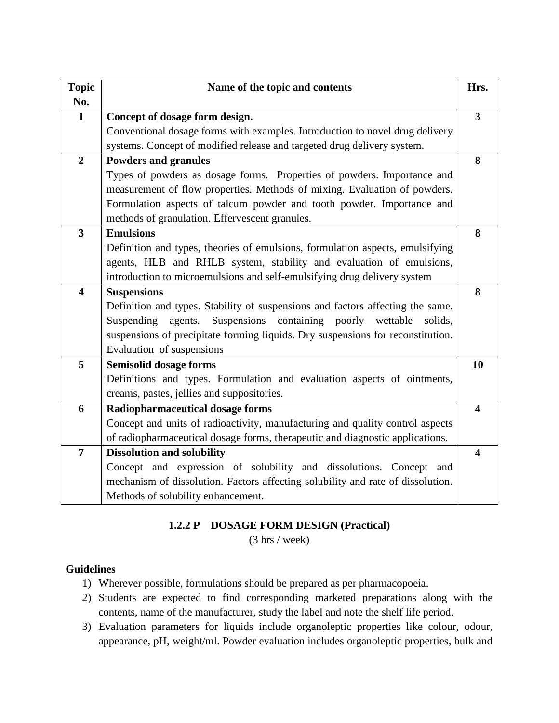| <b>Topic</b>            | Name of the topic and contents                                                   | Hrs.                    |
|-------------------------|----------------------------------------------------------------------------------|-------------------------|
| No.                     |                                                                                  |                         |
| $\mathbf{1}$            | Concept of dosage form design.                                                   | $\overline{\mathbf{3}}$ |
|                         | Conventional dosage forms with examples. Introduction to novel drug delivery     |                         |
|                         | systems. Concept of modified release and targeted drug delivery system.          |                         |
| $\overline{2}$          | <b>Powders and granules</b>                                                      | 8                       |
|                         | Types of powders as dosage forms. Properties of powders. Importance and          |                         |
|                         | measurement of flow properties. Methods of mixing. Evaluation of powders.        |                         |
|                         | Formulation aspects of talcum powder and tooth powder. Importance and            |                         |
|                         | methods of granulation. Effervescent granules.                                   |                         |
| $\overline{\mathbf{3}}$ | <b>Emulsions</b>                                                                 | 8                       |
|                         | Definition and types, theories of emulsions, formulation aspects, emulsifying    |                         |
|                         | agents, HLB and RHLB system, stability and evaluation of emulsions,              |                         |
|                         | introduction to microemulsions and self-emulsifying drug delivery system         |                         |
| $\overline{\mathbf{4}}$ | <b>Suspensions</b>                                                               | 8                       |
|                         | Definition and types. Stability of suspensions and factors affecting the same.   |                         |
|                         | Suspensions containing<br>Suspending<br>poorly<br>agents.<br>wettable<br>solids, |                         |
|                         | suspensions of precipitate forming liquids. Dry suspensions for reconstitution.  |                         |
|                         | Evaluation of suspensions                                                        |                         |
| 5                       | <b>Semisolid dosage forms</b>                                                    | 10                      |
|                         | Definitions and types. Formulation and evaluation aspects of ointments,          |                         |
|                         | creams, pastes, jellies and suppositories.                                       |                         |
| 6                       | <b>Radiopharmaceutical dosage forms</b>                                          | $\overline{\mathbf{4}}$ |
|                         | Concept and units of radioactivity, manufacturing and quality control aspects    |                         |
|                         | of radiopharmaceutical dosage forms, therapeutic and diagnostic applications.    |                         |
| $\overline{7}$          | <b>Dissolution and solubility</b>                                                | $\overline{\mathbf{4}}$ |
|                         | Concept and expression of solubility and dissolutions. Concept and               |                         |
|                         | mechanism of dissolution. Factors affecting solubility and rate of dissolution.  |                         |
|                         | Methods of solubility enhancement.                                               |                         |

## **1.2.2 P DOSAGE FORM DESIGN (Practical)**

(3 hrs / week)

## **Guidelines**

- 1) Wherever possible, formulations should be prepared as per pharmacopoeia.
- 2) Students are expected to find corresponding marketed preparations along with the contents, name of the manufacturer, study the label and note the shelf life period.
- 3) Evaluation parameters for liquids include organoleptic properties like colour, odour, appearance, pH, weight/ml. Powder evaluation includes organoleptic properties, bulk and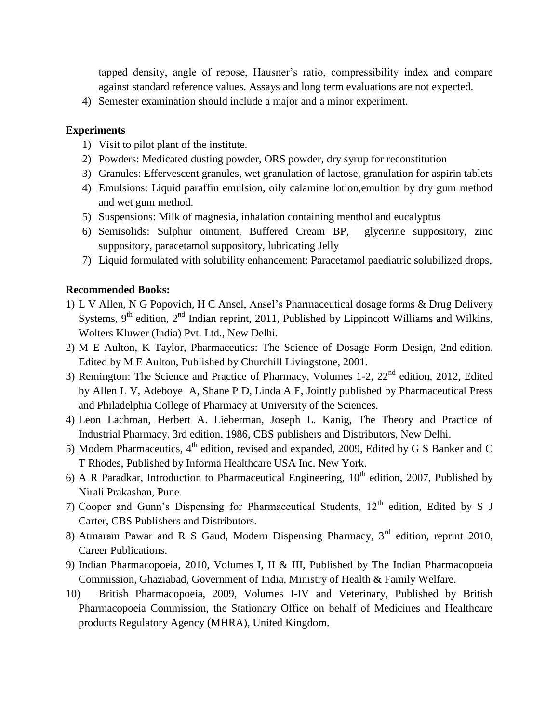tapped density, angle of repose, Hausner"s ratio, compressibility index and compare against standard reference values. Assays and long term evaluations are not expected.

4) Semester examination should include a major and a minor experiment.

#### **Experiments**

- 1) Visit to pilot plant of the institute.
- 2) Powders: Medicated dusting powder, ORS powder, dry syrup for reconstitution
- 3) Granules: Effervescent granules, wet granulation of lactose, granulation for aspirin tablets
- 4) Emulsions: Liquid paraffin emulsion, oily calamine lotion,emultion by dry gum method and wet gum method.
- 5) Suspensions: Milk of magnesia, inhalation containing menthol and eucalyptus
- 6) Semisolids: Sulphur ointment, Buffered Cream BP, glycerine suppository, zinc suppository, paracetamol suppository, lubricating Jelly
- 7) Liquid formulated with solubility enhancement: Paracetamol paediatric solubilized drops,

#### **Recommended Books:**

- 1) [L V Allen,](http://www.flipkart.com/author/loyd-v-allen) [N G Popovich,](http://www.flipkart.com/author/nicholas-g-popovich) [H C Ansel,](http://www.flipkart.com/author/howard-c-ansel) Ansel"s Pharmaceutical dosage forms & Drug Delivery Systems,  $9<sup>th</sup>$  edition,  $2<sup>nd</sup>$  Indian reprint, 2011, Published by Lippincott Williams and Wilkins, Wolters Kluwer (India) Pvt. Ltd., New Delhi.
- 2) M E Aulton, K Taylor, Pharmaceutics: The Science of Dosage Form Design, 2nd edition. Edited by M E Aulton, Published by Churchill Livingstone, 2001.
- 3) Remington: The Science and Practice of Pharmacy, Volumes 1-2,  $22<sup>nd</sup>$  edition, 2012, Edited by Allen L V, Adeboye A, Shane P D, Linda A F, Jointly published by Pharmaceutical Press and Philadelphia College of Pharmacy at University of the Sciences.
- 4) Leon Lachman, Herbert A. Lieberman, Joseph L. Kanig, The Theory and Practice of Industrial Pharmacy. 3rd edition, 1986, CBS publishers and Distributors, New Delhi.
- 5) Modern Pharmaceutics, 4<sup>th</sup> edition, revised and expanded, 2009, Edited by G S Banker and C T Rhodes, Published by Informa Healthcare USA Inc. New York.
- 6) A R Paradkar, Introduction to Pharmaceutical Engineering,  $10<sup>th</sup>$  edition, 2007, Published by Nirali Prakashan, Pune.
- 7) Cooper and Gunn's Dispensing for Pharmaceutical Students,  $12<sup>th</sup>$  edition, Edited by S J Carter, CBS Publishers and Distributors.
- 8) Atmaram Pawar and R S Gaud, Modern Dispensing Pharmacy, 3<sup>rd</sup> edition, reprint 2010, Career Publications.
- 9) Indian Pharmacopoeia, 2010, Volumes I, II & III, Published by The Indian Pharmacopoeia Commission, Ghaziabad, Government of India, Ministry of Health & Family Welfare.
- 10) British Pharmacopoeia, 2009, Volumes I-IV and Veterinary, Published by British Pharmacopoeia Commission, the Stationary Office on behalf of Medicines and Healthcare products Regulatory Agency (MHRA), United Kingdom.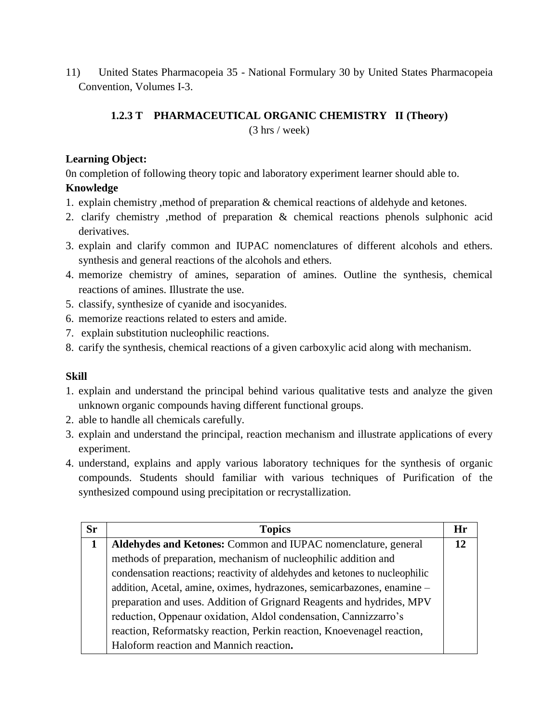11) United States Pharmacopeia 35 - National Formulary 30 by United States Pharmacopeia Convention, Volumes I-3.

## **1.2.3 T PHARMACEUTICAL ORGANIC CHEMISTRY II (Theory)**

(3 hrs / week)

### **Learning Object:**

0n completion of following theory topic and laboratory experiment learner should able to. **Knowledge**

- 1. explain chemistry ,method of preparation & chemical reactions of aldehyde and ketones.
- 2. clarify chemistry ,method of preparation & chemical reactions phenols sulphonic acid derivatives.
- 3. explain and clarify common and IUPAC nomenclatures of different alcohols and ethers. synthesis and general reactions of the alcohols and ethers.
- 4. memorize chemistry of amines, separation of amines. Outline the synthesis, chemical reactions of amines. Illustrate the use.
- 5. classify, synthesize of cyanide and isocyanides.
- 6. memorize reactions related to esters and amide.
- 7. explain substitution nucleophilic reactions.
- 8. carify the synthesis, chemical reactions of a given carboxylic acid along with mechanism.

#### **Skill**

- 1. explain and understand the principal behind various qualitative tests and analyze the given unknown organic compounds having different functional groups.
- 2. able to handle all chemicals carefully.
- 3. explain and understand the principal, reaction mechanism and illustrate applications of every experiment.
- 4. understand, explains and apply various laboratory techniques for the synthesis of organic compounds. Students should familiar with various techniques of Purification of the synthesized compound using precipitation or recrystallization.

| <b>Sr</b> | <b>Topics</b>                                                               | Hr |
|-----------|-----------------------------------------------------------------------------|----|
|           | Aldehydes and Ketones: Common and IUPAC nomenclature, general               | 12 |
|           | methods of preparation, mechanism of nucleophilic addition and              |    |
|           | condensation reactions; reactivity of aldehydes and ketones to nucleophilic |    |
|           | addition, Acetal, amine, oximes, hydrazones, semicarbazones, enamine -      |    |
|           | preparation and uses. Addition of Grignard Reagents and hydrides, MPV       |    |
|           | reduction, Oppenaur oxidation, Aldol condensation, Cannizzarro's            |    |
|           | reaction, Reformatsky reaction, Perkin reaction, Knoevenagel reaction,      |    |
|           | Haloform reaction and Mannich reaction.                                     |    |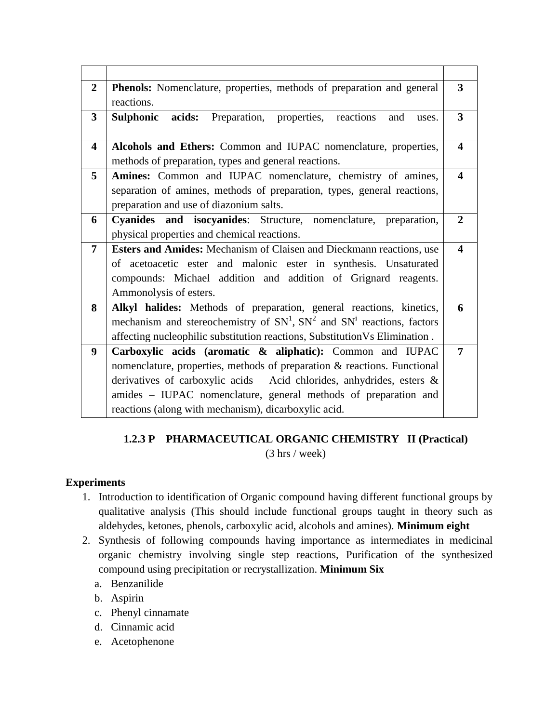| <b>Phenols:</b> Nomenclature, properties, methods of preparation and general<br>3               |
|-------------------------------------------------------------------------------------------------|
|                                                                                                 |
| 3<br>uses.                                                                                      |
| Alcohols and Ethers: Common and IUPAC nomenclature, properties,<br>$\overline{\mathbf{4}}$      |
|                                                                                                 |
| Amines: Common and IUPAC nomenclature, chemistry of amines,<br>$\overline{\mathbf{4}}$          |
| separation of amines, methods of preparation, types, general reactions,                         |
|                                                                                                 |
| Cyanides and isocyanides: Structure, nomenclature, preparation,<br>$\overline{2}$               |
|                                                                                                 |
| Esters and Amides: Mechanism of Claisen and Dieckmann reactions, use<br>$\overline{\mathbf{4}}$ |
| of acetoacetic ester and malonic ester in synthesis. Unsaturated                                |
| compounds: Michael addition and addition of Grignard reagents.                                  |
|                                                                                                 |
| Alkyl halides: Methods of preparation, general reactions, kinetics,<br>6                        |
| mechanism and stereochemistry of $SN1$ , $SN2$ and $SNi$ reactions, factors                     |
| affecting nucleophilic substitution reactions, Substitution Vs Elimination .                    |
| Carboxylic acids (aromatic & aliphatic): Common and IUPAC<br>7                                  |
| nomenclature, properties, methods of preparation & reactions. Functional                        |
| derivatives of carboxylic acids - Acid chlorides, anhydrides, esters $\&$                       |
| amides - IUPAC nomenclature, general methods of preparation and                                 |
|                                                                                                 |
|                                                                                                 |

## **1.2.3 P PHARMACEUTICAL ORGANIC CHEMISTRY II (Practical)** (3 hrs / week)

## **Experiments**

- 1. Introduction to identification of Organic compound having different functional groups by qualitative analysis (This should include functional groups taught in theory such as aldehydes, ketones, phenols, carboxylic acid, alcohols and amines). **Minimum eight**
- 2. Synthesis of following compounds having importance as intermediates in medicinal organic chemistry involving single step reactions, Purification of the synthesized compound using precipitation or recrystallization. **Minimum Six**
	- a. Benzanilide
	- b. Aspirin
	- c. Phenyl cinnamate
	- d. Cinnamic acid
	- e. Acetophenone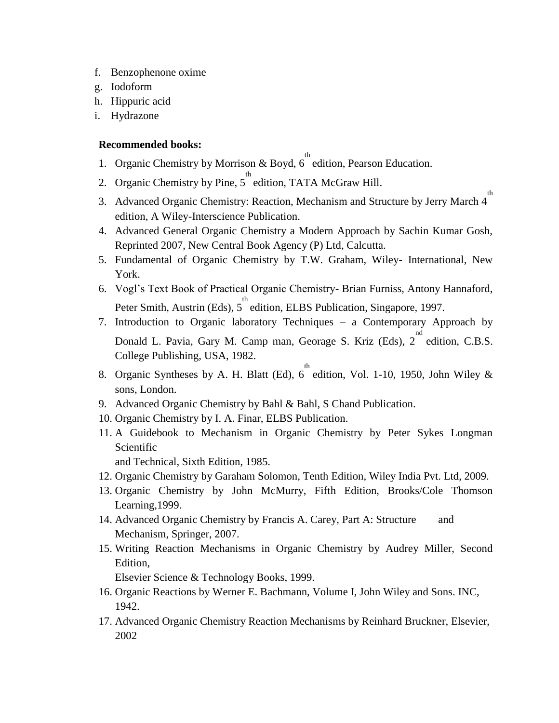- f. Benzophenone oxime
- g. Iodoform
- h. Hippuric acid
- i. Hydrazone

#### **Recommended books:**

- 1. Organic Chemistry by Morrison & Boyd,  $6^{th}$  edition, Pearson Education.
- 2. Organic Chemistry by Pine,  $5^{th}$  edition, TATA McGraw Hill.
- 3. Advanced Organic Chemistry: Reaction, Mechanism and Structure by Jerry March 4<sup>th</sup> edition, A Wiley-Interscience Publication.
- 4. Advanced General Organic Chemistry a Modern Approach by Sachin Kumar Gosh, Reprinted 2007, New Central Book Agency (P) Ltd, Calcutta.
- 5. Fundamental of Organic Chemistry by T.W. Graham, Wiley- International, New York.
- 6. Vogl"s Text Book of Practical Organic Chemistry- Brian Furniss, Antony Hannaford, Peter Smith, Austrin (Eds), 5<sup>th</sup> edition, ELBS Publication, Singapore, 1997.
- 7. Introduction to Organic laboratory Techniques a Contemporary Approach by Donald L. Pavia, Gary M. Camp man, Georage S. Kriz (Eds),  $2^{nd}$  edition, C.B.S. College Publishing, USA, 1982.
- 8. Organic Syntheses by A. H. Blatt (Ed),  $6^{th}$  edition, Vol. 1-10, 1950, John Wiley & sons, London.
- 9. Advanced Organic Chemistry by Bahl & Bahl, S Chand Publication.
- 10. Organic Chemistry by I. A. Finar, ELBS Publication.
- 11. A Guidebook to Mechanism in Organic Chemistry by Peter Sykes Longman Scientific

and Technical, Sixth Edition, 1985.

- 12. Organic Chemistry by Garaham Solomon, Tenth Edition, Wiley India Pvt. Ltd, 2009.
- 13. Organic Chemistry by John McMurry, Fifth Edition, Brooks/Cole Thomson Learning,1999.
- 14. Advanced Organic Chemistry by Francis A. Carey, Part A: Structure and Mechanism, Springer, 2007.
- 15. Writing Reaction Mechanisms in Organic Chemistry by Audrey Miller, Second Edition,

Elsevier Science & Technology Books, 1999.

- 16. Organic Reactions by Werner E. Bachmann, Volume I, John Wiley and Sons. INC, 1942.
- 17. Advanced Organic Chemistry Reaction Mechanisms by Reinhard Bruckner, Elsevier, 2002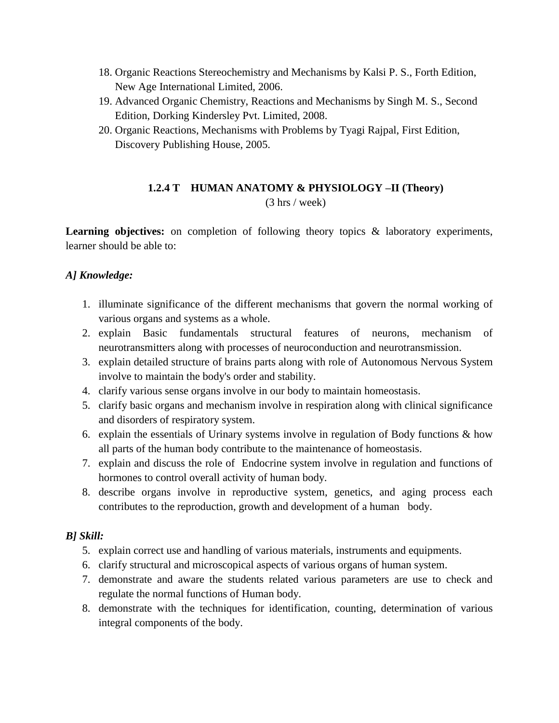- 18. Organic Reactions Stereochemistry and Mechanisms by Kalsi P. S., Forth Edition, New Age International Limited, 2006.
- 19. Advanced Organic Chemistry, Reactions and Mechanisms by Singh M. S., Second Edition, Dorking Kindersley Pvt. Limited, 2008.
- 20. Organic Reactions, Mechanisms with Problems by Tyagi Rajpal, First Edition, Discovery Publishing House, 2005.

## **1.2.4 T HUMAN ANATOMY & PHYSIOLOGY –II (Theory)** (3 hrs / week)

Learning objectives: on completion of following theory topics & laboratory experiments, learner should be able to:

## *A] Knowledge:*

- 1. illuminate significance of the different mechanisms that govern the normal working of various organs and systems as a whole.
- 2. explain Basic fundamentals structural features of neurons, mechanism of neurotransmitters along with processes of neuroconduction and neurotransmission.
- 3. explain detailed structure of brains parts along with role of Autonomous Nervous System involve to maintain the body's order and stability.
- 4. clarify various sense organs involve in our body to maintain homeostasis.
- 5. clarify basic organs and mechanism involve in respiration along with clinical significance and disorders of respiratory system.
- 6. explain the essentials of Urinary systems involve in regulation of Body functions  $\&$  how all parts of the human body contribute to the maintenance of homeostasis.
- 7. explain and discuss the role of Endocrine system involve in regulation and functions of hormones to control overall activity of human body.
- 8. describe organs involve in reproductive system, genetics, and aging process each contributes to the reproduction, growth and development of a human body.

## *B] Skill:*

- 5. explain correct use and handling of various materials, instruments and equipments.
- 6. clarify structural and microscopical aspects of various organs of human system.
- 7. demonstrate and aware the students related various parameters are use to check and regulate the normal functions of Human body.
- 8. demonstrate with the techniques for identification, counting, determination of various integral components of the body.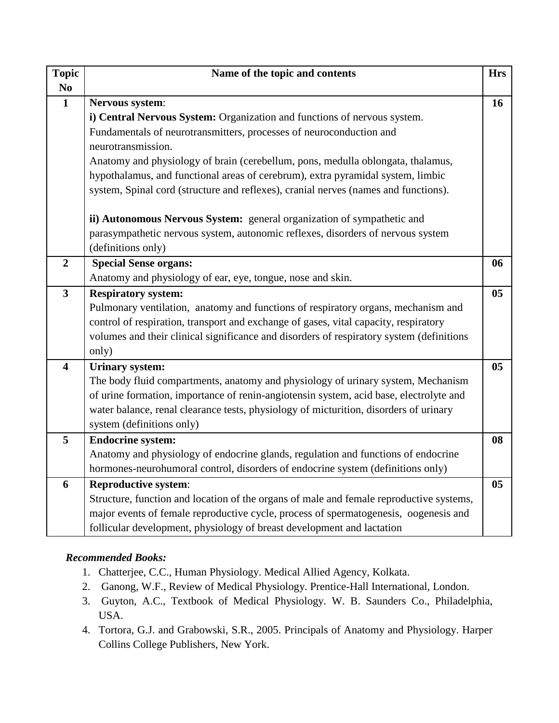| <b>Topic</b>            | Name of the topic and contents                                                                                     | <b>Hrs</b>     |
|-------------------------|--------------------------------------------------------------------------------------------------------------------|----------------|
| N <sub>0</sub>          |                                                                                                                    |                |
| $\mathbf{1}$            | Nervous system:                                                                                                    | 16             |
|                         | i) Central Nervous System: Organization and functions of nervous system.                                           |                |
|                         | Fundamentals of neurotransmitters, processes of neuroconduction and                                                |                |
|                         | neurotransmission.                                                                                                 |                |
|                         | Anatomy and physiology of brain (cerebellum, pons, medulla oblongata, thalamus,                                    |                |
|                         | hypothalamus, and functional areas of cerebrum), extra pyramidal system, limbic                                    |                |
|                         | system, Spinal cord (structure and reflexes), cranial nerves (names and functions).                                |                |
|                         | ii) Autonomous Nervous System: general organization of sympathetic and                                             |                |
|                         | parasympathetic nervous system, autonomic reflexes, disorders of nervous system<br>(definitions only)              |                |
| $\overline{2}$          | <b>Special Sense organs:</b>                                                                                       | 06             |
|                         |                                                                                                                    |                |
|                         | Anatomy and physiology of ear, eye, tongue, nose and skin.                                                         |                |
| $\overline{\mathbf{3}}$ | <b>Respiratory system:</b>                                                                                         | 0 <sub>5</sub> |
|                         | Pulmonary ventilation, anatomy and functions of respiratory organs, mechanism and                                  |                |
|                         | control of respiration, transport and exchange of gases, vital capacity, respiratory                               |                |
|                         | volumes and their clinical significance and disorders of respiratory system (definitions                           |                |
| $\overline{\mathbf{4}}$ | only)                                                                                                              | 0 <sub>5</sub> |
|                         | <b>Urinary system:</b>                                                                                             |                |
|                         | The body fluid compartments, anatomy and physiology of urinary system, Mechanism                                   |                |
|                         | of urine formation, importance of renin-angiotensin system, acid base, electrolyte and                             |                |
|                         | water balance, renal clearance tests, physiology of micturition, disorders of urinary<br>system (definitions only) |                |
| 5                       | <b>Endocrine system:</b>                                                                                           | 08             |
|                         | Anatomy and physiology of endocrine glands, regulation and functions of endocrine                                  |                |
|                         | hormones-neurohumoral control, disorders of endocrine system (definitions only)                                    |                |
|                         |                                                                                                                    |                |
| 6                       | <b>Reproductive system:</b>                                                                                        | 0 <sub>5</sub> |
|                         | Structure, function and location of the organs of male and female reproductive systems,                            |                |
|                         | major events of female reproductive cycle, process of spermatogenesis, oogenesis and                               |                |
|                         | follicular development, physiology of breast development and lactation                                             |                |

## *Recommended Books:*

- 1. Chatterjee, C.C., Human Physiology. Medical Allied Agency, Kolkata.
- 2. Ganong, W.F., Review of Medical Physiology. Prentice-Hall International, London.
- 3. Guyton, A.C., Textbook of Medical Physiology. W. B. Saunders Co., Philadelphia, USA.
- 4. Tortora, G.J. and Grabowski, S.R., 2005. Principals of Anatomy and Physiology. Harper Collins College Publishers, New York.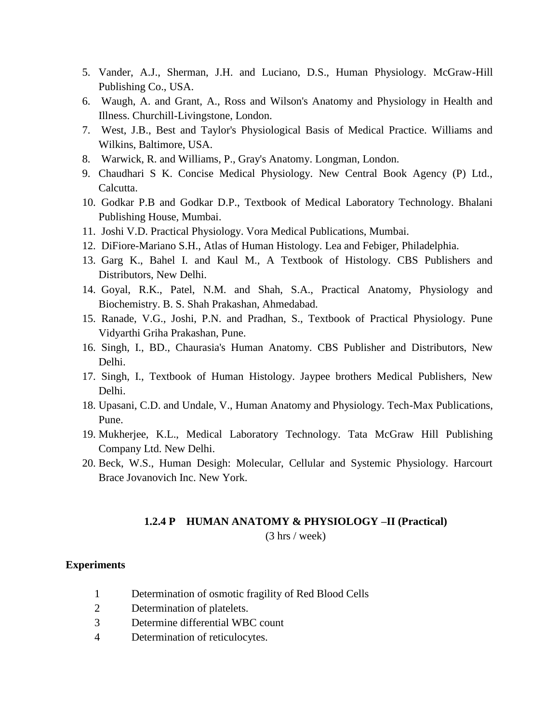- 5. Vander, A.J., Sherman, J.H. and Luciano, D.S., Human Physiology. McGraw-Hill Publishing Co., USA.
- 6. Waugh, A. and Grant, A., Ross and Wilson's Anatomy and Physiology in Health and Illness. Churchill-Livingstone, London.
- 7. West, J.B., Best and Taylor's Physiological Basis of Medical Practice. Williams and Wilkins, Baltimore, USA.
- 8. Warwick, R. and Williams, P., Gray's Anatomy. Longman, London.
- 9. Chaudhari S K. Concise Medical Physiology. New Central Book Agency (P) Ltd., Calcutta.
- 10. Godkar P.B and Godkar D.P., Textbook of Medical Laboratory Technology. Bhalani Publishing House, Mumbai.
- 11. Joshi V.D. Practical Physiology. Vora Medical Publications, Mumbai.
- 12. DiFiore-Mariano S.H., Atlas of Human Histology. Lea and Febiger, Philadelphia.
- 13. Garg K., Bahel I. and Kaul M., A Textbook of Histology. CBS Publishers and Distributors, New Delhi.
- 14. Goyal, R.K., Patel, N.M. and Shah, S.A., Practical Anatomy, Physiology and Biochemistry. B. S. Shah Prakashan, Ahmedabad.
- 15. Ranade, V.G., Joshi, P.N. and Pradhan, S., Textbook of Practical Physiology. Pune Vidyarthi Griha Prakashan, Pune.
- 16. Singh, I., BD., Chaurasia's Human Anatomy. CBS Publisher and Distributors, New Delhi.
- 17. Singh, I., Textbook of Human Histology. Jaypee brothers Medical Publishers, New Delhi.
- 18. Upasani, C.D. and Undale, V., Human Anatomy and Physiology. Tech-Max Publications, Pune.
- 19. Mukherjee, K.L., Medical Laboratory Technology. Tata McGraw Hill Publishing Company Ltd. New Delhi.
- 20. Beck, W.S., Human Desigh: Molecular, Cellular and Systemic Physiology. Harcourt Brace Jovanovich Inc. New York.

#### **1.2.4 P HUMAN ANATOMY & PHYSIOLOGY –II (Practical)** (3 hrs / week)

#### **Experiments**

- 1 Determination of osmotic fragility of Red Blood Cells
- 2 Determination of platelets.
- 3 Determine differential WBC count
- 4 Determination of reticulocytes.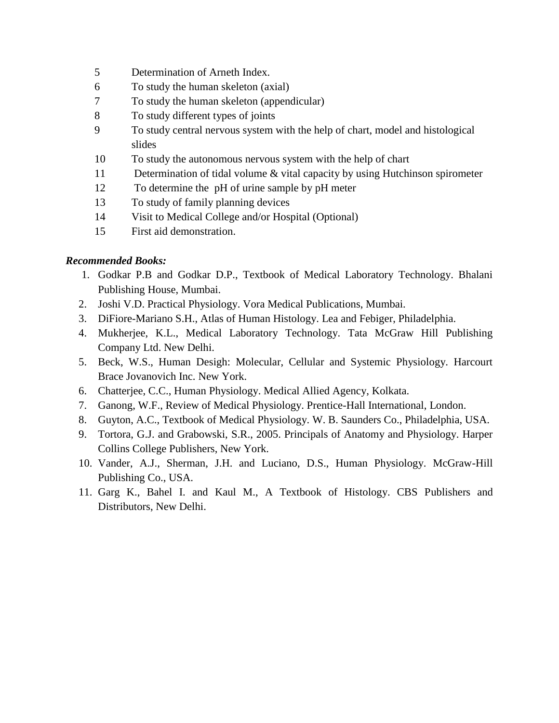- 5 Determination of Arneth Index.
- 6 To study the human skeleton (axial)
- 7 To study the human skeleton (appendicular)
- 8 To study different types of joints
- 9 To study central nervous system with the help of chart, model and histological slides
- 10 To study the autonomous nervous system with the help of chart
- 11 Determination of tidal volume & vital capacity by using Hutchinson spirometer
- 12 To determine the pH of urine sample by pH meter
- 13 To study of family planning devices
- 14 Visit to Medical College and/or Hospital (Optional)
- 15 First aid demonstration.

## *Recommended Books:*

- 1. Godkar P.B and Godkar D.P., Textbook of Medical Laboratory Technology. Bhalani Publishing House, Mumbai.
- 2. Joshi V.D. Practical Physiology. Vora Medical Publications, Mumbai.
- 3. DiFiore-Mariano S.H., Atlas of Human Histology. Lea and Febiger, Philadelphia.
- 4. Mukherjee, K.L., Medical Laboratory Technology. Tata McGraw Hill Publishing Company Ltd. New Delhi.
- 5. Beck, W.S., Human Desigh: Molecular, Cellular and Systemic Physiology. Harcourt Brace Jovanovich Inc. New York.
- 6. Chatterjee, C.C., Human Physiology. Medical Allied Agency, Kolkata.
- 7. Ganong, W.F., Review of Medical Physiology. Prentice-Hall International, London.
- 8. Guyton, A.C., Textbook of Medical Physiology. W. B. Saunders Co., Philadelphia, USA.
- 9. Tortora, G.J. and Grabowski, S.R., 2005. Principals of Anatomy and Physiology. Harper Collins College Publishers, New York.
- 10. Vander, A.J., Sherman, J.H. and Luciano, D.S., Human Physiology. McGraw-Hill Publishing Co., USA.
- 11. Garg K., Bahel I. and Kaul M., A Textbook of Histology. CBS Publishers and Distributors, New Delhi.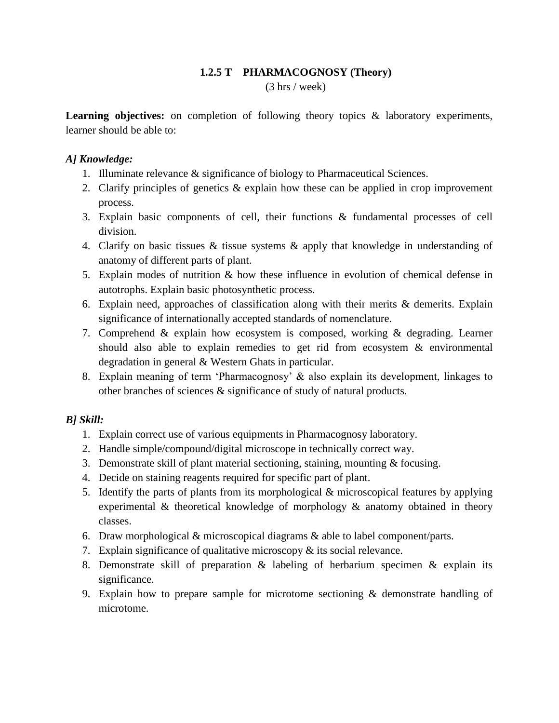## **1.2.5 T PHARMACOGNOSY (Theory)**

(3 hrs / week)

Learning objectives: on completion of following theory topics & laboratory experiments, learner should be able to:

### *A] Knowledge:*

- 1. Illuminate relevance & significance of biology to Pharmaceutical Sciences.
- 2. Clarify principles of genetics & explain how these can be applied in crop improvement process.
- 3. Explain basic components of cell, their functions & fundamental processes of cell division.
- 4. Clarify on basic tissues & tissue systems & apply that knowledge in understanding of anatomy of different parts of plant.
- 5. Explain modes of nutrition & how these influence in evolution of chemical defense in autotrophs. Explain basic photosynthetic process.
- 6. Explain need, approaches of classification along with their merits & demerits. Explain significance of internationally accepted standards of nomenclature.
- 7. Comprehend & explain how ecosystem is composed, working & degrading. Learner should also able to explain remedies to get rid from ecosystem & environmental degradation in general & Western Ghats in particular.
- 8. Explain meaning of term "Pharmacognosy" & also explain its development, linkages to other branches of sciences & significance of study of natural products.

## *B] Skill:*

- 1. Explain correct use of various equipments in Pharmacognosy laboratory.
- 2. Handle simple/compound/digital microscope in technically correct way.
- 3. Demonstrate skill of plant material sectioning, staining, mounting & focusing.
- 4. Decide on staining reagents required for specific part of plant.
- 5. Identify the parts of plants from its morphological & microscopical features by applying experimental & theoretical knowledge of morphology & anatomy obtained in theory classes.
- 6. Draw morphological & microscopical diagrams & able to label component/parts.
- 7. Explain significance of qualitative microscopy & its social relevance.
- 8. Demonstrate skill of preparation & labeling of herbarium specimen & explain its significance.
- 9. Explain how to prepare sample for microtome sectioning  $\&$  demonstrate handling of microtome.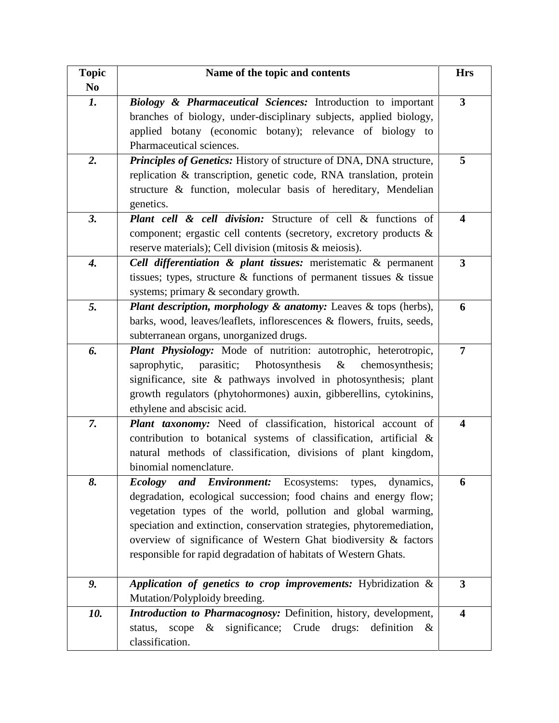| <b>Topic</b>   | Name of the topic and contents                                                                                                                                                                                                                                                                                                                                                                                    | <b>Hrs</b>              |
|----------------|-------------------------------------------------------------------------------------------------------------------------------------------------------------------------------------------------------------------------------------------------------------------------------------------------------------------------------------------------------------------------------------------------------------------|-------------------------|
| N <sub>0</sub> |                                                                                                                                                                                                                                                                                                                                                                                                                   |                         |
| 1.             | Biology & Pharmaceutical Sciences: Introduction to important<br>branches of biology, under-disciplinary subjects, applied biology,<br>applied botany (economic botany); relevance of biology to<br>Pharmaceutical sciences.                                                                                                                                                                                       | $\overline{3}$          |
| 2.             | Principles of Genetics: History of structure of DNA, DNA structure,<br>replication & transcription, genetic code, RNA translation, protein<br>structure & function, molecular basis of hereditary, Mendelian<br>genetics.                                                                                                                                                                                         | 5                       |
| 3.             | <b>Plant cell &amp; cell division:</b> Structure of cell & functions of<br>component; ergastic cell contents (secretory, excretory products &<br>reserve materials); Cell division (mitosis & meiosis).                                                                                                                                                                                                           | 4                       |
| 4.             | Cell differentiation & plant tissues: meristematic & permanent<br>tissues; types, structure $\&$ functions of permanent tissues $\&$ tissue<br>systems; primary & secondary growth.                                                                                                                                                                                                                               | $\overline{\mathbf{3}}$ |
| 5.             | <b>Plant description, morphology &amp; anatomy:</b> Leaves & tops (herbs),<br>barks, wood, leaves/leaflets, inflorescences & flowers, fruits, seeds,<br>subterranean organs, unorganized drugs.                                                                                                                                                                                                                   | 6                       |
| 6.             | Plant Physiology: Mode of nutrition: autotrophic, heterotropic,<br>parasitic; Photosynthesis<br>$\&$<br>saprophytic,<br>chemosynthesis;<br>significance, site & pathways involved in photosynthesis; plant<br>growth regulators (phytohormones) auxin, gibberellins, cytokinins,<br>ethylene and abscisic acid.                                                                                                   | 7                       |
| 7.             | Plant taxonomy: Need of classification, historical account of<br>contribution to botanical systems of classification, artificial &<br>natural methods of classification, divisions of plant kingdom,<br>binomial nomenclature.                                                                                                                                                                                    | 4                       |
| 8.             | and Environment: Ecosystems:<br>Ecology<br>types,<br>dynamics,<br>degradation, ecological succession; food chains and energy flow;<br>vegetation types of the world, pollution and global warming,<br>speciation and extinction, conservation strategies, phytoremediation,<br>overview of significance of Western Ghat biodiversity & factors<br>responsible for rapid degradation of habitats of Western Ghats. | 6                       |
| 9.             | Application of genetics to crop improvements: Hybridization &<br>Mutation/Polyploidy breeding.                                                                                                                                                                                                                                                                                                                    | $\overline{3}$          |
| 10.            | Introduction to Pharmacognosy: Definition, history, development,<br>$\&$ significance; Crude drugs:<br>definition<br>scope<br>status,<br>$\&$<br>classification.                                                                                                                                                                                                                                                  | $\overline{\mathbf{4}}$ |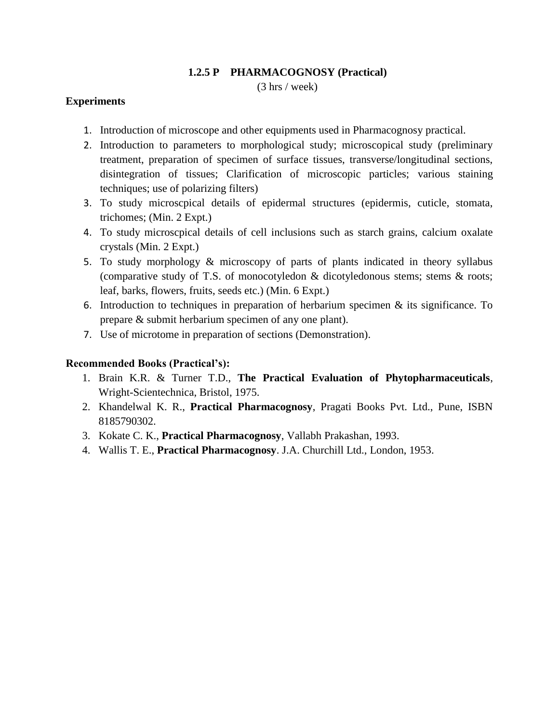#### **1.2.5 P PHARMACOGNOSY (Practical)**

(3 hrs / week)

#### **Experiments**

- 1. Introduction of microscope and other equipments used in Pharmacognosy practical.
- 2. Introduction to parameters to morphological study; microscopical study (preliminary treatment, preparation of specimen of surface tissues, transverse/longitudinal sections, disintegration of tissues; Clarification of microscopic particles; various staining techniques; use of polarizing filters)
- 3. To study microscpical details of epidermal structures (epidermis, cuticle, stomata, trichomes; (Min. 2 Expt.)
- 4. To study microscpical details of cell inclusions such as starch grains, calcium oxalate crystals (Min. 2 Expt.)
- 5. To study morphology & microscopy of parts of plants indicated in theory syllabus (comparative study of T.S. of monocotyledon & dicotyledonous stems; stems & roots; leaf, barks, flowers, fruits, seeds etc.) (Min. 6 Expt.)
- 6. Introduction to techniques in preparation of herbarium specimen  $\&$  its significance. To prepare & submit herbarium specimen of any one plant).
- 7. Use of microtome in preparation of sections (Demonstration).

#### **Recommended Books (Practical's):**

- 1. Brain K.R. & Turner T.D., **The Practical Evaluation of Phytopharmaceuticals**, Wright-Scientechnica, Bristol, 1975.
- 2. Khandelwal K. R., **Practical Pharmacognosy**, Pragati Books Pvt. Ltd., Pune, ISBN 8185790302.
- 3. Kokate C. K., **Practical Pharmacognosy**, Vallabh Prakashan, 1993.
- 4. Wallis T. E., **Practical Pharmacognosy**. J.A. Churchill Ltd., London, 1953.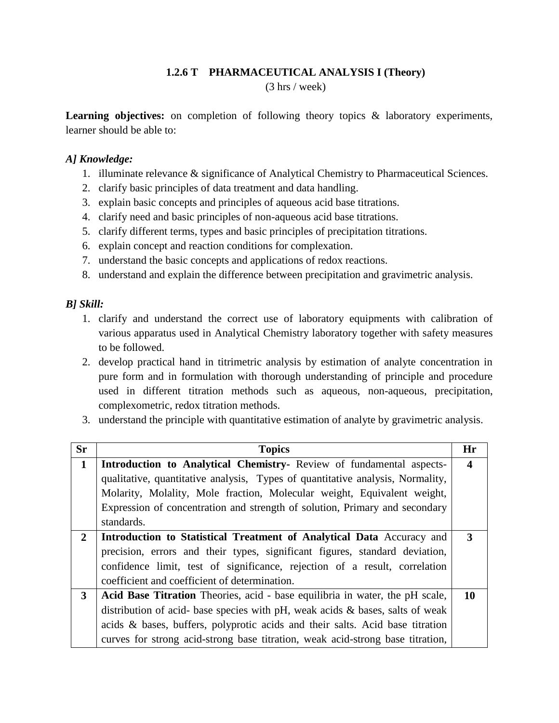## **1.2.6 T PHARMACEUTICAL ANALYSIS I (Theory)**

(3 hrs / week)

Learning objectives: on completion of following theory topics & laboratory experiments, learner should be able to:

#### *A] Knowledge:*

- 1. illuminate relevance & significance of Analytical Chemistry to Pharmaceutical Sciences.
- 2. clarify basic principles of data treatment and data handling.
- 3. explain basic concepts and principles of aqueous acid base titrations.
- 4. clarify need and basic principles of non-aqueous acid base titrations.
- 5. clarify different terms, types and basic principles of precipitation titrations.
- 6. explain concept and reaction conditions for complexation.
- 7. understand the basic concepts and applications of redox reactions.
- 8. understand and explain the difference between precipitation and gravimetric analysis.

#### *B] Skill:*

- 1. clarify and understand the correct use of laboratory equipments with calibration of various apparatus used in Analytical Chemistry laboratory together with safety measures to be followed.
- 2. develop practical hand in titrimetric analysis by estimation of analyte concentration in pure form and in formulation with thorough understanding of principle and procedure used in different titration methods such as aqueous, non-aqueous, precipitation, complexometric, redox titration methods.
- 3. understand the principle with quantitative estimation of analyte by gravimetric analysis.

| <b>Sr</b>      | <b>Topics</b>                                                                       | Hr |
|----------------|-------------------------------------------------------------------------------------|----|
| $\mathbf{1}$   | <b>Introduction to Analytical Chemistry-</b> Review of fundamental aspects-         | 4  |
|                | qualitative, quantitative analysis, Types of quantitative analysis, Normality,      |    |
|                | Molarity, Molality, Mole fraction, Molecular weight, Equivalent weight,             |    |
|                | Expression of concentration and strength of solution, Primary and secondary         |    |
|                | standards.                                                                          |    |
| $\overline{2}$ | Introduction to Statistical Treatment of Analytical Data Accuracy and               | 3  |
|                | precision, errors and their types, significant figures, standard deviation,         |    |
|                | confidence limit, test of significance, rejection of a result, correlation          |    |
|                | coefficient and coefficient of determination.                                       |    |
| $\mathbf{3}$   | Acid Base Titration Theories, acid - base equilibria in water, the pH scale,        | 10 |
|                | distribution of acid- base species with $pH$ , weak acids $\&$ bases, salts of weak |    |
|                | acids & bases, buffers, polyprotic acids and their salts. Acid base titration       |    |
|                | curves for strong acid-strong base titration, weak acid-strong base titration,      |    |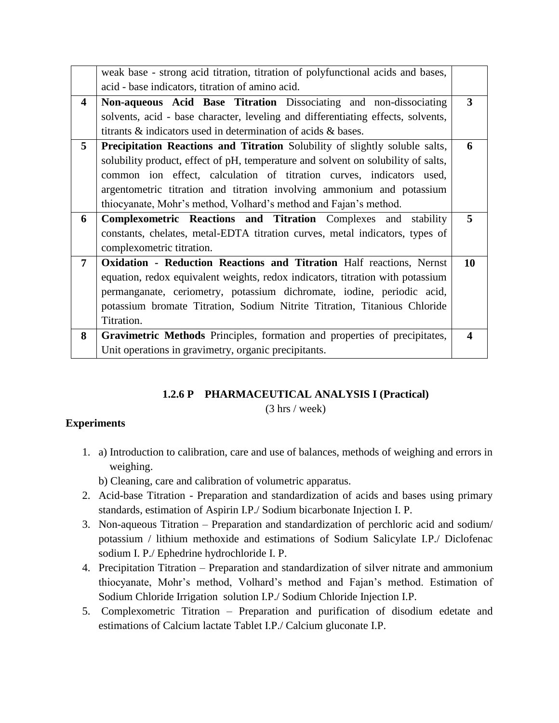|                 | weak base - strong acid titration, titration of polyfunctional acids and bases,   |    |
|-----------------|-----------------------------------------------------------------------------------|----|
|                 | acid - base indicators, titration of amino acid.                                  |    |
| 4               | Non-aqueous Acid Base Titration Dissociating and non-dissociating                 | 3  |
|                 | solvents, acid - base character, leveling and differentiating effects, solvents,  |    |
|                 | titrants & indicators used in determination of acids & bases.                     |    |
| 5 <sup>5</sup>  | Precipitation Reactions and Titration Solubility of slightly soluble salts,       | 6  |
|                 | solubility product, effect of pH, temperature and solvent on solubility of salts, |    |
|                 | common ion effect, calculation of titration curves, indicators used,              |    |
|                 | argentometric titration and titration involving ammonium and potassium            |    |
|                 | thiocyanate, Mohr's method, Volhard's method and Fajan's method.                  |    |
|                 |                                                                                   |    |
| 6               | <b>Complexometric Reactions and Titration Complexes and stability</b>             | 5  |
|                 | constants, chelates, metal-EDTA titration curves, metal indicators, types of      |    |
|                 | complexometric titration.                                                         |    |
| $7\overline{ }$ | <b>Oxidation - Reduction Reactions and Titration Half reactions, Nernst</b>       | 10 |
|                 | equation, redox equivalent weights, redox indicators, titration with potassium    |    |
|                 | permanganate, ceriometry, potassium dichromate, iodine, periodic acid,            |    |
|                 | potassium bromate Titration, Sodium Nitrite Titration, Titanious Chloride         |    |
|                 | Titration.                                                                        |    |
| 8               | Gravimetric Methods Principles, formation and properties of precipitates,         | 4  |

## **1.2.6 P PHARMACEUTICAL ANALYSIS I (Practical)**

(3 hrs / week)

## **Experiments**

1. a) Introduction to calibration, care and use of balances, methods of weighing and errors in weighing.

b) Cleaning, care and calibration of volumetric apparatus.

- 2. Acid-base Titration Preparation and standardization of acids and bases using primary standards, estimation of Aspirin I.P./ Sodium bicarbonate Injection I. P.
- 3. Non-aqueous Titration Preparation and standardization of perchloric acid and sodium/ potassium / lithium methoxide and estimations of Sodium Salicylate I.P./ Diclofenac sodium I. P./ Ephedrine hydrochloride I. P.
- 4. Precipitation Titration Preparation and standardization of silver nitrate and ammonium thiocyanate, Mohr"s method, Volhard"s method and Fajan"s method. Estimation of Sodium Chloride Irrigation solution I.P./ Sodium Chloride Injection I.P.
- 5. Complexometric Titration Preparation and purification of disodium edetate and estimations of Calcium lactate Tablet I.P./ Calcium gluconate I.P.